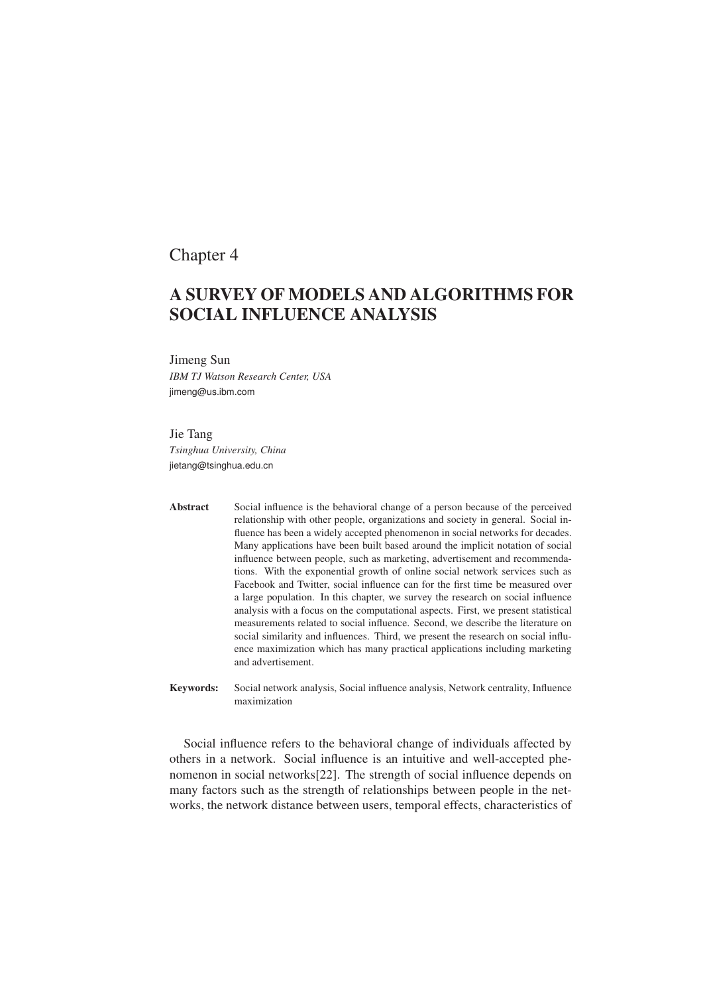## Chapter 4

# A SURVEY OF MODELS AND ALGORITHMS FOR SOCIAL INFLUENCE ANALYSIS

Jimeng Sun

*IBM TJ Watson Research Center, USA* iimeng@us.ibm.com

Jie Tang *Tsinghua University, China* jietang@tsinghua.edu.cn

Abstract Social influence is the behavioral change of a person because of the perceived relationship with other people, organizations and society in general. Social influence has been a widely accepted phenomenon in social networks for decades. Many applications have been built based around the implicit notation of social influence between people, such as marketing, advertisement and recommendations. With the exponential growth of online social network services such as Facebook and Twitter, social influence can for the first time be measured over a large population. In this chapter, we survey the research on social influence analysis with a focus on the computational aspects. First, we present statistical measurements related to social influence. Second, we describe the literature on social similarity and influences. Third, we present the research on social influence maximization which has many practical applications including marketing and advertisement.

Keywords: Social network analysis, Social influence analysis, Network centrality, Influence maximization

Social influence refers to the behavioral change of individuals affected by others in a network. Social influence is an intuitive and well-accepted phenomenon in social networks[22]. The strength of social influence depends on many factors such as the strength of relationships between people in the networks, the network distance between users, temporal effects, characteristics of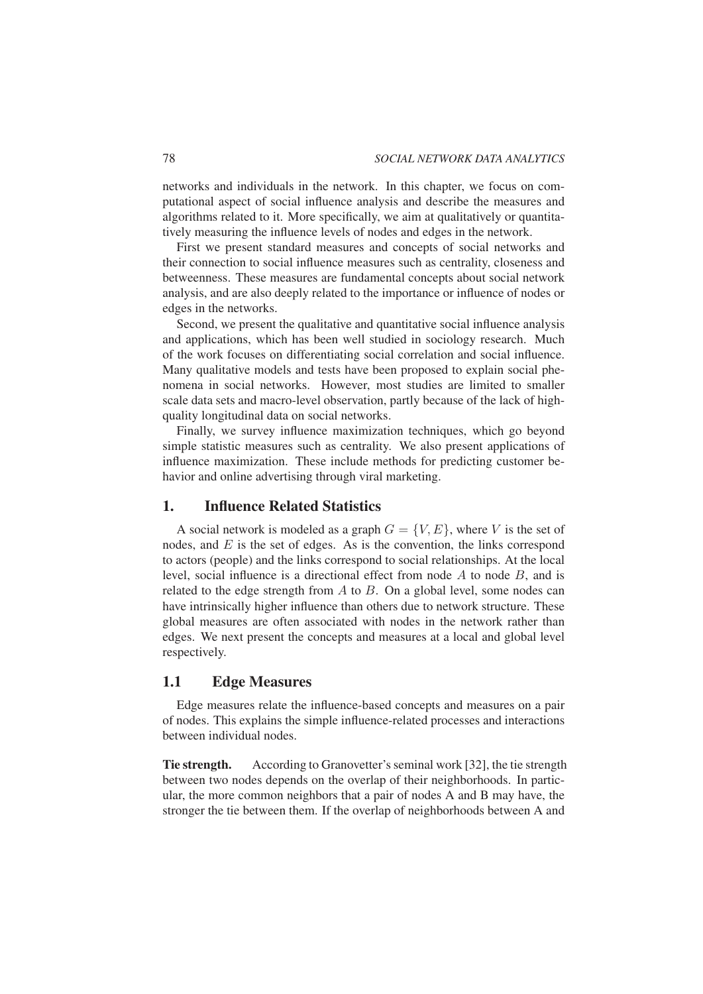networks and individuals in the network. In this chapter, we focus on computational aspect of social influence analysis and describe the measures and algorithms related to it. More specifically, we aim at qualitatively or quantitatively measuring the influence levels of nodes and edges in the network.

First we present standard measures and concepts of social networks and their connection to social influence measures such as centrality, closeness and betweenness. These measures are fundamental concepts about social network analysis, and are also deeply related to the importance or influence of nodes or edges in the networks.

Second, we present the qualitative and quantitative social influence analysis and applications, which has been well studied in sociology research. Much of the work focuses on differentiating social correlation and social influence. Many qualitative models and tests have been proposed to explain social phenomena in social networks. However, most studies are limited to smaller scale data sets and macro-level observation, partly because of the lack of highquality longitudinal data on social networks.

Finally, we survey influence maximization techniques, which go beyond simple statistic measures such as centrality. We also present applications of influence maximization. These include methods for predicting customer behavior and online advertising through viral marketing.

#### 1. Influence Related Statistics

A social network is modeled as a graph  $G = \{V, E\}$ , where V is the set of nodes, and  $E$  is the set of edges. As is the convention, the links correspond to actors (people) and the links correspond to social relationships. At the local level, social influence is a directional effect from node A to node B, and is related to the edge strength from  $A$  to  $B$ . On a global level, some nodes can have intrinsically higher influence than others due to network structure. These global measures are often associated with nodes in the network rather than edges. We next present the concepts and measures at a local and global level respectively.

## 1.1 Edge Measures

Edge measures relate the influence-based concepts and measures on a pair of nodes. This explains the simple influence-related processes and interactions between individual nodes.

Tie strength. According to Granovetter's seminal work [32], the tie strength between two nodes depends on the overlap of their neighborhoods. In particular, the more common neighbors that a pair of nodes A and B may have, the stronger the tie between them. If the overlap of neighborhoods between A and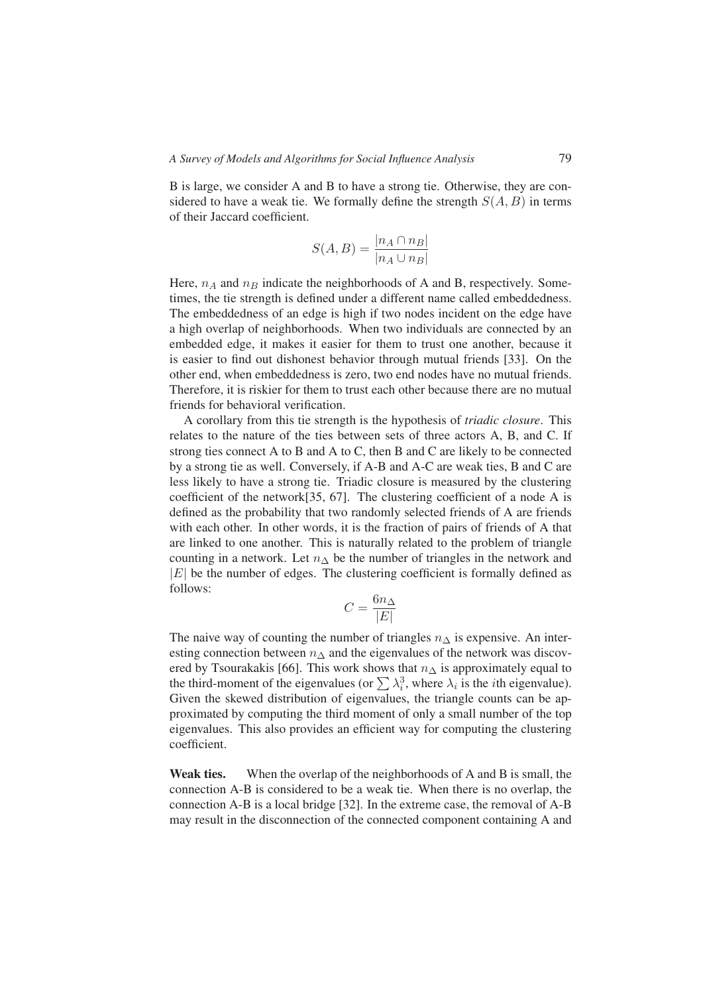B is large, we consider A and B to have a strong tie. Otherwise, they are considered to have a weak tie. We formally define the strength  $S(A, B)$  in terms of their Jaccard coefficient.

$$
S(A, B) = \frac{|n_A \cap n_B|}{|n_A \cup n_B|}
$$

Here,  $n_A$  and  $n_B$  indicate the neighborhoods of A and B, respectively. Sometimes, the tie strength is defined under a different name called embeddedness. The embeddedness of an edge is high if two nodes incident on the edge have a high overlap of neighborhoods. When two individuals are connected by an embedded edge, it makes it easier for them to trust one another, because it is easier to find out dishonest behavior through mutual friends [33]. On the other end, when embeddedness is zero, two end nodes have no mutual friends. Therefore, it is riskier for them to trust each other because there are no mutual friends for behavioral verification.

A corollary from this tie strength is the hypothesis of *triadic closure*. This relates to the nature of the ties between sets of three actors A, B, and C. If strong ties connect A to B and A to C, then B and C are likely to be connected by a strong tie as well. Conversely, if A-B and A-C are weak ties, B and C are less likely to have a strong tie. Triadic closure is measured by the clustering coefficient of the network[35, 67]. The clustering coefficient of a node A is defined as the probability that two randomly selected friends of A are friends with each other. In other words, it is the fraction of pairs of friends of A that are linked to one another. This is naturally related to the problem of triangle counting in a network. Let  $n_{\Delta}$  be the number of triangles in the network and  $|E|$  be the number of edges. The clustering coefficient is formally defined as follows:

$$
C=\frac{6n_{\Delta}}{|E|}
$$

The naive way of counting the number of triangles  $n_{\Delta}$  is expensive. An interesting connection between  $n_{\Delta}$  and the eigenvalues of the network was discovered by Tsourakakis [66]. This work shows that  $n_{\Delta}$  is approximately equal to the third-moment of the eigenvalues (or  $\sum \lambda_i^3$ , where  $\lambda_i$  is the *i*th eigenvalue).<br>Given the skewed distribution of eigenvalues the triangle counts can be an-Given the skewed distribution of eigenvalues, the triangle counts can be approximated by computing the third moment of only a small number of the top eigenvalues. This also provides an efficient way for computing the clustering coefficient.

Weak ties. When the overlap of the neighborhoods of A and B is small, the connection A-B is considered to be a weak tie. When there is no overlap, the connection A-B is a local bridge [32]. In the extreme case, the removal of A-B may result in the disconnection of the connected component containing A and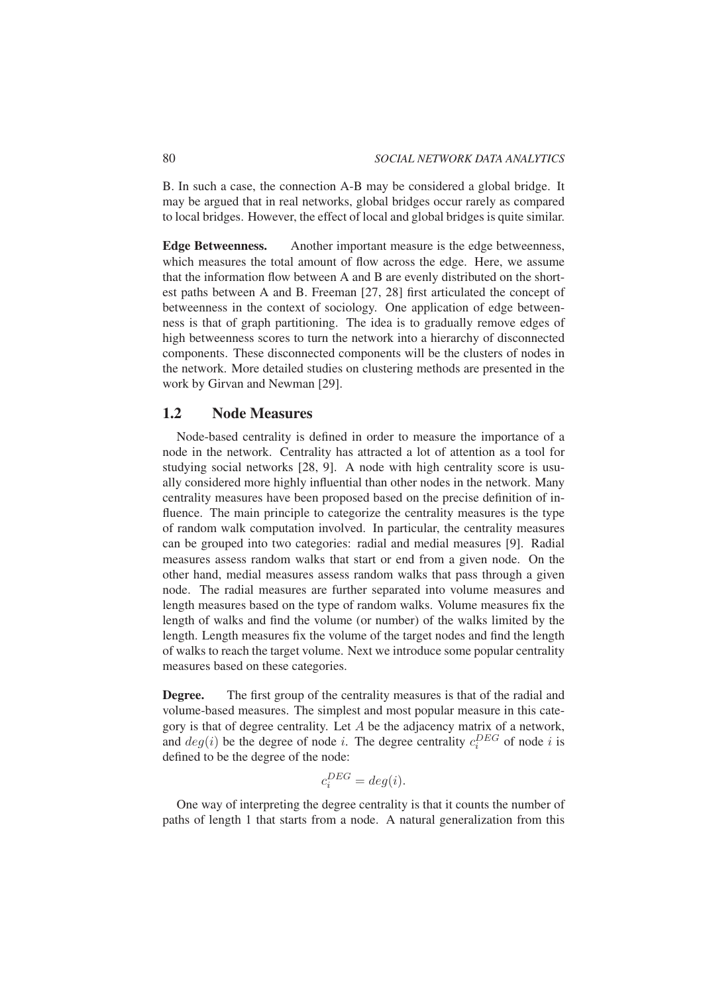B. In such a case, the connection A-B may be considered a global bridge. It may be argued that in real networks, global bridges occur rarely as compared to local bridges. However, the effect of local and global bridges is quite similar.

Edge Betweenness. Another important measure is the edge betweenness, which measures the total amount of flow across the edge. Here, we assume that the information flow between A and B are evenly distributed on the shortest paths between A and B. Freeman [27, 28] first articulated the concept of betweenness in the context of sociology. One application of edge betweenness is that of graph partitioning. The idea is to gradually remove edges of high betweenness scores to turn the network into a hierarchy of disconnected components. These disconnected components will be the clusters of nodes in the network. More detailed studies on clustering methods are presented in the work by Girvan and Newman [29].

#### 1.2 Node Measures

Node-based centrality is defined in order to measure the importance of a node in the network. Centrality has attracted a lot of attention as a tool for studying social networks [28, 9]. A node with high centrality score is usually considered more highly influential than other nodes in the network. Many centrality measures have been proposed based on the precise definition of influence. The main principle to categorize the centrality measures is the type of random walk computation involved. In particular, the centrality measures can be grouped into two categories: radial and medial measures [9]. Radial measures assess random walks that start or end from a given node. On the other hand, medial measures assess random walks that pass through a given node. The radial measures are further separated into volume measures and length measures based on the type of random walks. Volume measures fix the length of walks and find the volume (or number) of the walks limited by the length. Length measures fix the volume of the target nodes and find the length of walks to reach the target volume. Next we introduce some popular centrality measures based on these categories.

**Degree.** The first group of the centrality measures is that of the radial and volume-based measures. The simplest and most popular measure in this category is that of degree centrality. Let A be the adjacency matrix of a network, and  $deg(i)$  be the degree of node *i*. The degree centrality  $c_i^{DEG}$  of node *i* is defined to be the degree of the node: defined to be the degree of the node:

$$
c_i^{DEG} = deg(i).
$$

One way of interpreting the degree centrality is that it counts the number of paths of length 1 that starts from a node. A natural generalization from this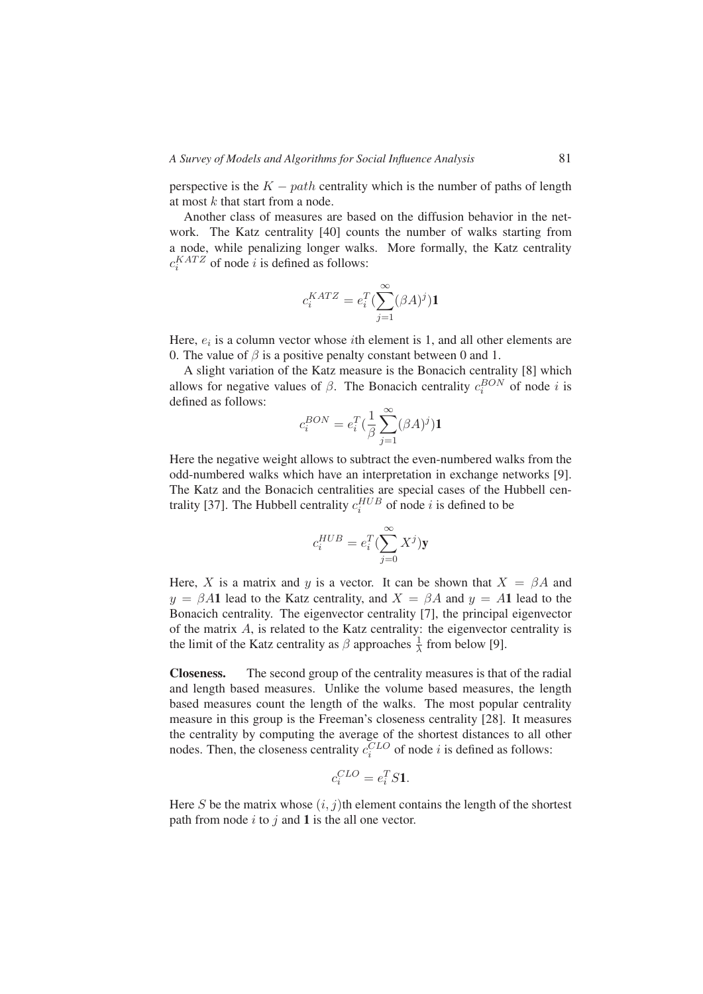perspective is the  $K - path$  centrality which is the number of paths of length at most k that start from a node.

Another class of measures are based on the diffusion behavior in the network. The Katz centrality [40] counts the number of walks starting from a node, while penalizing longer walks. More formally, the Katz centrality  $c_i^{KATZ}$  of node *i* is defined as follows:

$$
c_i^{KATZ} = e_i^T \left(\sum_{j=1}^{\infty} (\beta A)^j\right) \mathbf{1}
$$

Here,  $e_i$  is a column vector whose *i*th element is 1, and all other elements are 0. The value of  $\beta$  is a positive penalty constant between 0 and 1.

A slight variation of the Katz measure is the Bonacich centrality [8] which allows for negative values of  $\beta$ . The Bonacich centrality  $c_i^{BON}$  of node *i* is defined as follows: defined as follows:

$$
c_i^{BON} = e_i^T \left(\frac{1}{\beta} \sum_{j=1}^{\infty} (\beta A)^j\right) \mathbf{1}
$$

Here the negative weight allows to subtract the even-numbered walks from the odd-numbered walks which have an interpretation in exchange networks [9]. The Katz and the Bonacich centralities are special cases of the Hubbell centrality [37]. The Hubbell centrality  $c_i^{HUB}$  of node *i* is defined to be

$$
c_i^{HUB} = e_i^T (\sum_{j=0}^{\infty} X^j) \mathbf{y}
$$

Here, X is a matrix and y is a vector. It can be shown that  $X = \beta A$  and  $y = \beta A$ 1 lead to the Katz centrality, and  $X = \beta A$  and  $y = A$ 1 lead to the Bonacich centrality. The eigenvector centrality [7], the principal eigenvector of the matrix A, is related to the Katz centrality: the eigenvector centrality is the limit of the Katz centrality as  $\beta$  approaches  $\frac{1}{\lambda}$  from below [9].

Closeness. The second group of the centrality measures is that of the radial and length based measures. Unlike the volume based measures, the length based measures count the length of the walks. The most popular centrality measure in this group is the Freeman's closeness centrality [28]. It measures the centrality by computing the average of the shortest distances to all other nodes. Then, the closeness centrality  $c_i^{CLO}$  of node i is defined as follows:

$$
c_i^{CLO} = e_i^T S \mathbf{1}.
$$

Here S be the matrix whose  $(i, j)$ th element contains the length of the shortest path from node  $i$  to  $j$  and  $1$  is the all one vector.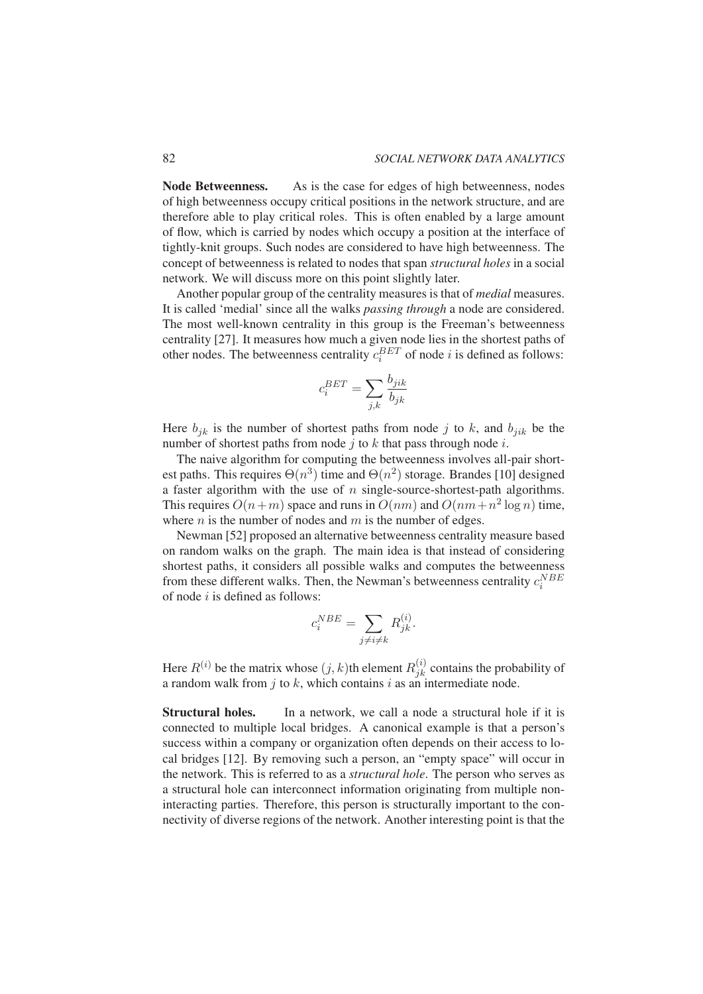Node Betweenness. As is the case for edges of high betweenness, nodes of high betweenness occupy critical positions in the network structure, and are therefore able to play critical roles. This is often enabled by a large amount of flow, which is carried by nodes which occupy a position at the interface of tightly-knit groups. Such nodes are considered to have high betweenness. The concept of betweenness is related to nodes that span *structural holes* in a social network. We will discuss more on this point slightly later.

Another popular group of the centrality measures is that of *medial* measures. It is called 'medial' since all the walks *passing through* a node are considered. The most well-known centrality in this group is the Freeman's betweenness centrality [27]. It measures how much a given node lies in the shortest paths of other nodes. The betweenness centrality  $c_i^{BET}$  of node i is defined as follows:

$$
c_i^{BET} = \sum_{j,k} \frac{b_{jik}}{b_{jk}}
$$

Here  $b_{jk}$  is the number of shortest paths from node j to k, and  $b_{jik}$  be the number of shortest paths from node  $j$  to  $k$  that pass through node  $i$ .

The naive algorithm for computing the betweenness involves all-pair shortest paths. This requires  $\Theta(n^3)$  time and  $\Theta(n^2)$  storage. Brandes [10] designed a faster algorithm with the use of  $n$  single-source-shortest-path algorithms. This requires  $O(n+m)$  space and runs in  $O(nm)$  and  $O(nm+n^2 \log n)$  time, where  $n$  is the number of nodes and  $m$  is the number of edges.

Newman [52] proposed an alternative betweenness centrality measure based on random walks on the graph. The main idea is that instead of considering shortest paths, it considers all possible walks and computes the betweenness from these different walks. Then, the Newman's betweenness centrality  $c_i^{NBE}$ of node  $i$  is defined as follows:

$$
c_i^{NBE} = \sum_{j \neq i \neq k} R_{jk}^{(i)}.
$$

Here  $R^{(i)}$  be the matrix whose  $(j, k)$ th element  $R_{jk}^{(i)}$  contains the probability of a random walk from i to k which contains i as an intermediate node a random walk from  $j$  to  $k$ , which contains  $i$  as an intermediate node.

Structural holes. In a network, we call a node a structural hole if it is connected to multiple local bridges. A canonical example is that a person's success within a company or organization often depends on their access to local bridges [12]. By removing such a person, an "empty space" will occur in the network. This is referred to as a *structural hole*. The person who serves as a structural hole can interconnect information originating from multiple noninteracting parties. Therefore, this person is structurally important to the connectivity of diverse regions of the network. Another interesting point is that the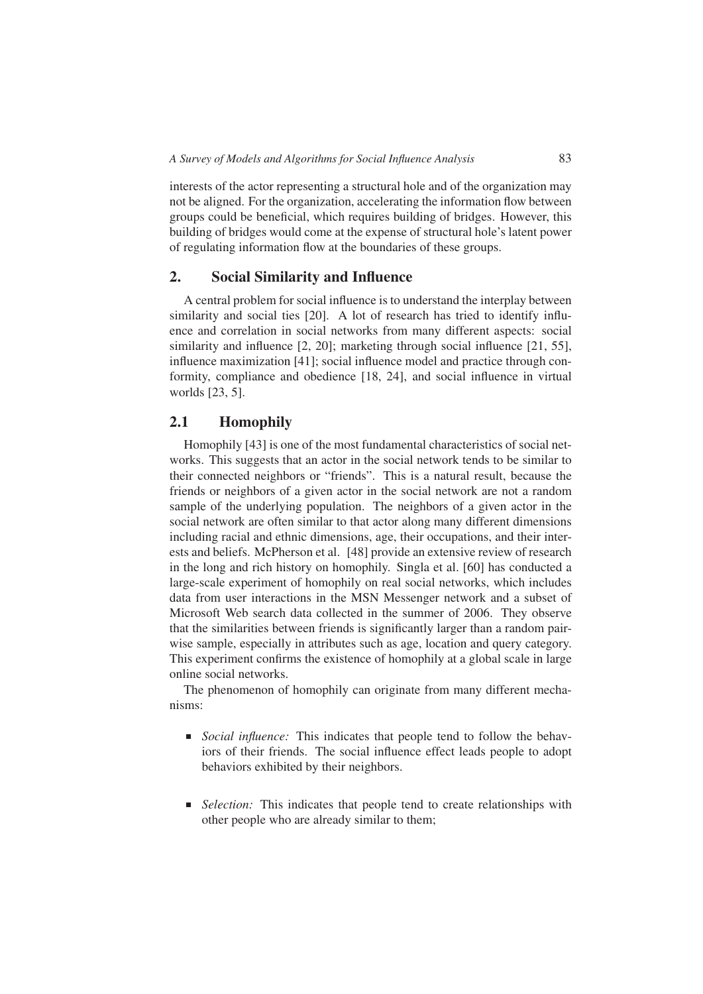interests of the actor representing a structural hole and of the organization may not be aligned. For the organization, accelerating the information flow between groups could be beneficial, which requires building of bridges. However, this building of bridges would come at the expense of structural hole's latent power of regulating information flow at the boundaries of these groups.

## 2. Social Similarity and Influence

A central problem for social influence is to understand the interplay between similarity and social ties [20]. A lot of research has tried to identify influence and correlation in social networks from many different aspects: social similarity and influence [2, 20]; marketing through social influence [21, 55], influence maximization [41]; social influence model and practice through conformity, compliance and obedience [18, 24], and social influence in virtual worlds [23, 5].

## 2.1 Homophily

Homophily [43] is one of the most fundamental characteristics of social networks. This suggests that an actor in the social network tends to be similar to their connected neighbors or "friends". This is a natural result, because the friends or neighbors of a given actor in the social network are not a random sample of the underlying population. The neighbors of a given actor in the social network are often similar to that actor along many different dimensions including racial and ethnic dimensions, age, their occupations, and their interests and beliefs. McPherson et al. [48] provide an extensive review of research in the long and rich history on homophily. Singla et al. [60] has conducted a large-scale experiment of homophily on real social networks, which includes data from user interactions in the MSN Messenger network and a subset of Microsoft Web search data collected in the summer of 2006. They observe that the similarities between friends is significantly larger than a random pairwise sample, especially in attributes such as age, location and query category. This experiment confirms the existence of homophily at a global scale in large online social networks.

The phenomenon of homophily can originate from many different mechanisms:

- *Social influence:* This indicates that people tend to follow the behaviors of their friends. The social influence effect leads people to adopt behaviors exhibited by their neighbors.
- *Selection:* This indicates that people tend to create relationships with other people who are already similar to them;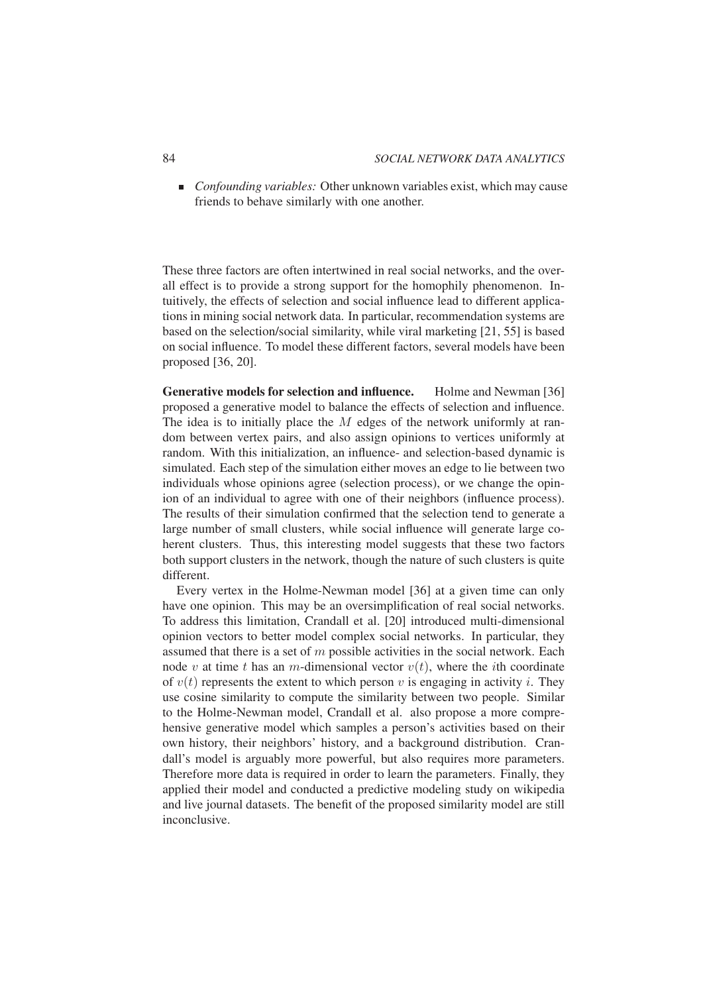*Confounding variables:* Other unknown variables exist, which may cause friends to behave similarly with one another.

These three factors are often intertwined in real social networks, and the overall effect is to provide a strong support for the homophily phenomenon. Intuitively, the effects of selection and social influence lead to different applications in mining social network data. In particular, recommendation systems are based on the selection/social similarity, while viral marketing [21, 55] is based on social influence. To model these different factors, several models have been proposed [36, 20].

Generative models for selection and influence. Holme and Newman [36] proposed a generative model to balance the effects of selection and influence. The idea is to initially place the  $M$  edges of the network uniformly at random between vertex pairs, and also assign opinions to vertices uniformly at random. With this initialization, an influence- and selection-based dynamic is simulated. Each step of the simulation either moves an edge to lie between two individuals whose opinions agree (selection process), or we change the opinion of an individual to agree with one of their neighbors (influence process). The results of their simulation confirmed that the selection tend to generate a large number of small clusters, while social influence will generate large coherent clusters. Thus, this interesting model suggests that these two factors both support clusters in the network, though the nature of such clusters is quite different.

Every vertex in the Holme-Newman model [36] at a given time can only have one opinion. This may be an oversimplification of real social networks. To address this limitation, Crandall et al. [20] introduced multi-dimensional opinion vectors to better model complex social networks. In particular, they assumed that there is a set of  $m$  possible activities in the social network. Each node v at time t has an m-dimensional vector  $v(t)$ , where the *i*th coordinate of  $v(t)$  represents the extent to which person v is engaging in activity i. They use cosine similarity to compute the similarity between two people. Similar to the Holme-Newman model, Crandall et al. also propose a more comprehensive generative model which samples a person's activities based on their own history, their neighbors' history, and a background distribution. Crandall's model is arguably more powerful, but also requires more parameters. Therefore more data is required in order to learn the parameters. Finally, they applied their model and conducted a predictive modeling study on wikipedia and live journal datasets. The benefit of the proposed similarity model are still inconclusive.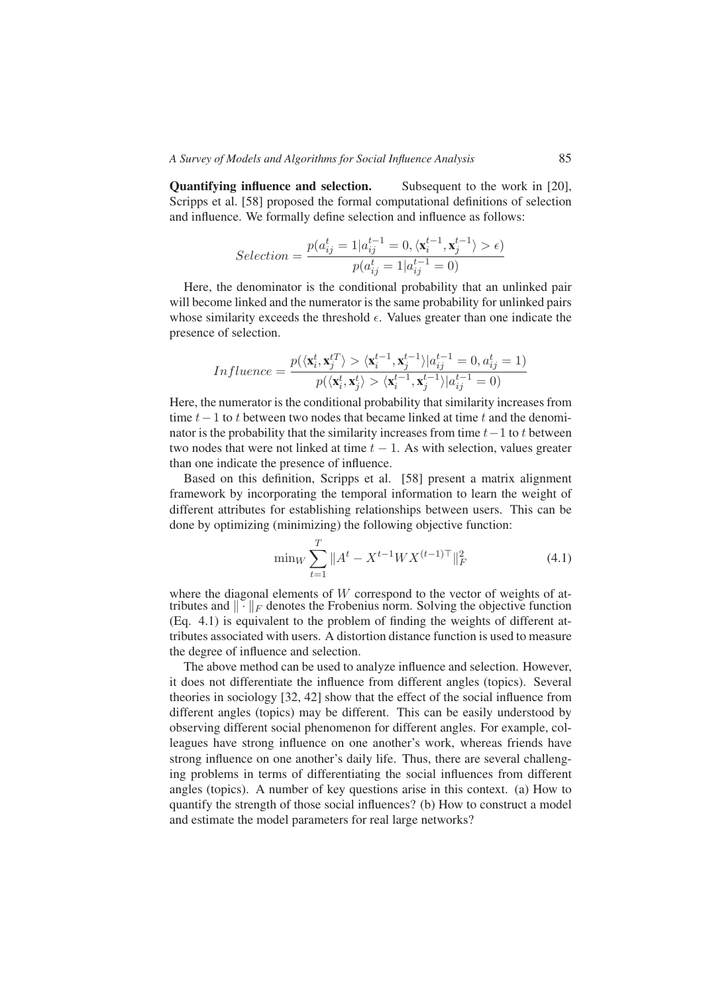Quantifying influence and selection. Subsequent to the work in [20], Scripps et al. [58] proposed the formal computational definitions of selection and influence. We formally define selection and influence as follows:

$$
Selection = \frac{p(a_{ij}^t = 1 | a_{ij}^{t-1} = 0, \langle \mathbf{x}_i^{t-1}, \mathbf{x}_j^{t-1} \rangle > \epsilon)}{p(a_{ij}^t = 1 | a_{ij}^{t-1} = 0)}
$$

Here, the denominator is the conditional probability that an unlinked pair will become linked and the numerator is the same probability for unlinked pairs whose similarity exceeds the threshold  $\epsilon$ . Values greater than one indicate the presence of selection.

$$
Influence = \frac{p(\langle \mathbf{x}_i^t, \mathbf{x}_j^{tT} \rangle > \langle \mathbf{x}_i^{t-1}, \mathbf{x}_j^{t-1} \rangle | a_{ij}^{t-1} = 0, a_{ij}^t = 1)}{p(\langle \mathbf{x}_i^t, \mathbf{x}_j^t \rangle > \langle \mathbf{x}_i^{t-1}, \mathbf{x}_j^{t-1} \rangle | a_{ij}^{t-1} = 0)}
$$

Here, the numerator is the conditional probability that similarity increases from time  $t-1$  to t between two nodes that became linked at time t and the denominator is the probability that the similarity increases from time  $t-1$  to t between two nodes that were not linked at time  $t - 1$ . As with selection, values greater than one indicate the presence of influence.

Based on this definition, Scripps et al. [58] present a matrix alignment framework by incorporating the temporal information to learn the weight of different attributes for establishing relationships between users. This can be done by optimizing (minimizing) the following objective function:

$$
\min_{W} \sum_{t=1}^{T} \|A^t - X^{t-1}WX^{(t-1)\top}\|_F^2
$$
\n(4.1)

where the diagonal elements of W correspond to the vector of weights of attributes and  $\|\cdot\|_F$  denotes the Frobenius norm. Solving the objective function (Eq. 4.1) is equivalent to the problem of finding the weights of different attributes associated with users. A distortion distance function is used to measure the degree of influence and selection.

The above method can be used to analyze influence and selection. However, it does not differentiate the influence from different angles (topics). Several theories in sociology [32, 42] show that the effect of the social influence from different angles (topics) may be different. This can be easily understood by observing different social phenomenon for different angles. For example, colleagues have strong influence on one another's work, whereas friends have strong influence on one another's daily life. Thus, there are several challenging problems in terms of differentiating the social influences from different angles (topics). A number of key questions arise in this context. (a) How to quantify the strength of those social influences? (b) How to construct a model and estimate the model parameters for real large networks?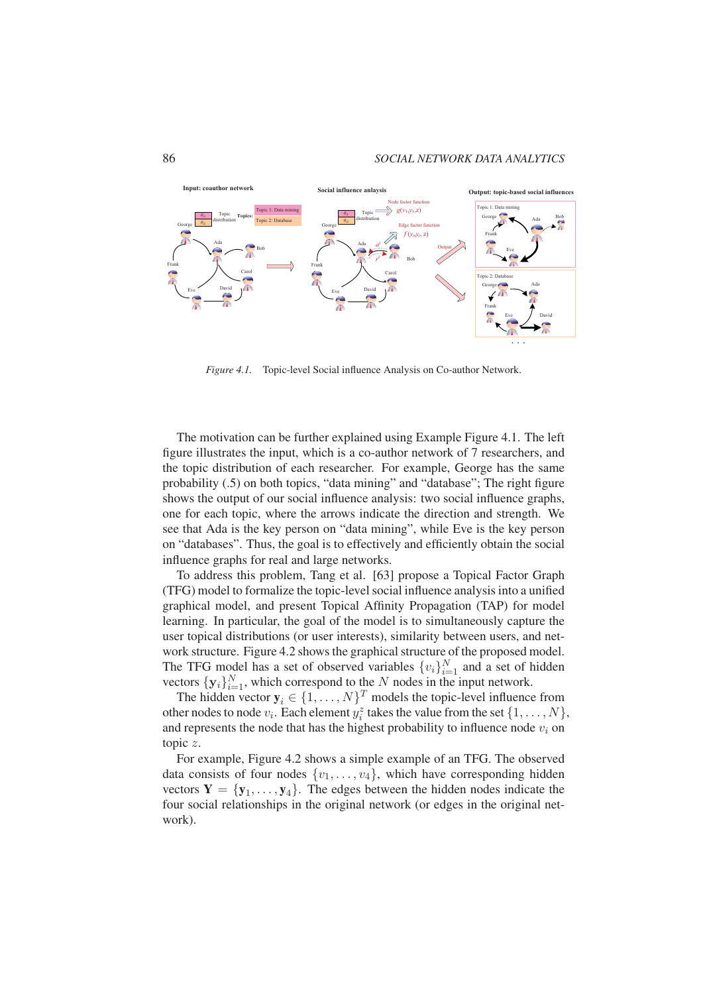

*Figure 4.1.* Topic-level Social influence Analysis on Co-author Network.

The motivation can be further explained using Example Figure 4.1. The left figure illustrates the input, which is a co-author network of 7 researchers, and the topic distribution of each researcher. For example, George has the same probability (.5) on both topics, "data mining" and "database"; The right figure shows the output of our social influence analysis: two social influence graphs, one for each topic, where the arrows indicate the direction and strength. We see that Ada is the key person on "data mining", while Eve is the key person on "databases". Thus, the goal is to effectively and efficiently obtain the social influence graphs for real and large networks.

To address this problem, Tang et al. [63] propose a Topical Factor Graph (TFG) model to formalize the topic-level social influence analysis into a unified graphical model, and present Topical Affinity Propagation (TAP) for model learning. In particular, the goal of the model is to simultaneously capture the user topical distributions (or user interests), similarity between users, and network structure. Figure 4.2 shows the graphical structure of the proposed model. The TFG model has a set of observed variables  $\{v_i\}_{i=1}^N$  and a set of hidden vectors  $\{v_i\}^N$ , which correspond to the N nodes in the input network vectors  $\{y_i\}_{i=1}^N$ , which correspond to the N nodes in the input network.<br>The hidden vector  $\mathbf{v}_i \in \{1 \}$   $N\}^T$  models the topic-level influence

The hidden vector  $y_i \in \{1, ..., N\}^T$  models the topic-level influence from<br>per nodes to node v. Each element  $y^z$  takes the value from the set  $\{1, ..., N\}$ other nodes to node  $v_i$ . Each element  $y_i^z$  takes the value from the set  $\{1,\ldots,N\}$ , and represents the node that has the highest probability to influence node  $v_i$  on and represents the node that has the highest probability to influence node  $v_i$  on topic z.

For example, Figure 4.2 shows a simple example of an TFG. The observed data consists of four nodes  $\{v_1, \ldots, v_4\}$ , which have corresponding hidden vectors  $Y = \{y_1, \ldots, y_4\}$ . The edges between the hidden nodes indicate the four social relationships in the original network (or edges in the original network).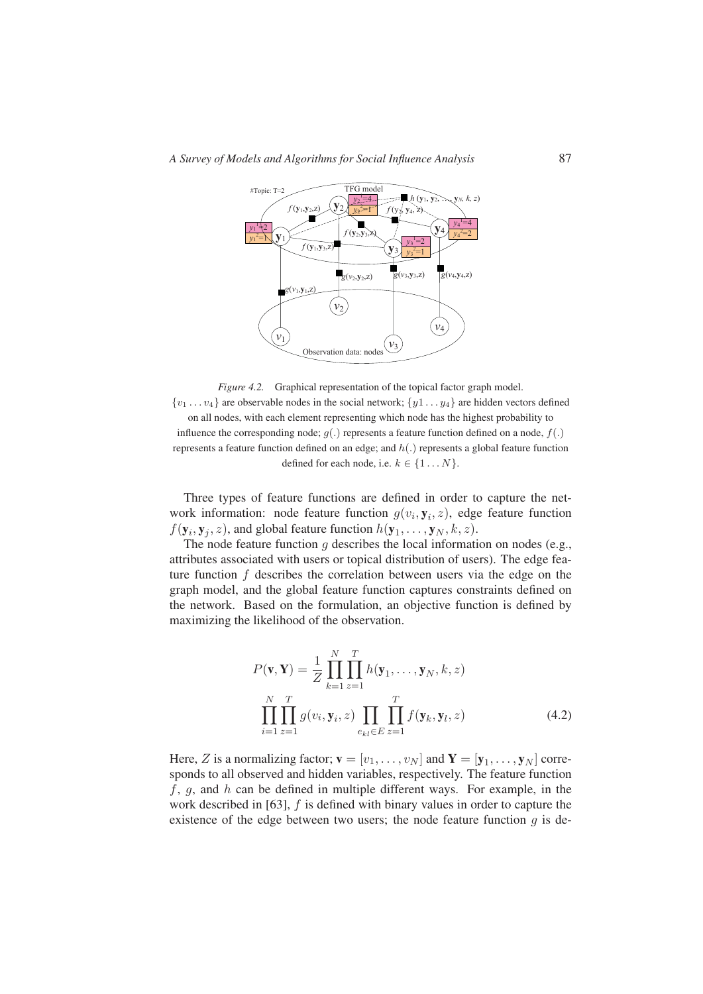

*Figure 4.2.* Graphical representation of the topical factor graph model.  $\{v_1 \dots v_4\}$  are observable nodes in the social network;  $\{y_1 \dots y_4\}$  are hidden vectors defined on all nodes, with each element representing which node has the highest probability to influence the corresponding node;  $g(.)$  represents a feature function defined on a node,  $f(.)$ represents a feature function defined on an edge; and  $h(.)$  represents a global feature function defined for each node, i.e.  $k \in \{1...N\}$ .

Three types of feature functions are defined in order to capture the network information: node feature function  $g(v_i, y_i, z)$ , edge feature function  $f(\mathbf{y}_i, \mathbf{y}_j, z)$ , and global feature function  $h(\mathbf{y}_1, \dots, \mathbf{y}_N, k, z)$ .

The node feature function  $g$  describes the local information on nodes (e.g., attributes associated with users or topical distribution of users). The edge feature function  $f$  describes the correlation between users via the edge on the graph model, and the global feature function captures constraints defined on the network. Based on the formulation, an objective function is defined by maximizing the likelihood of the observation.

$$
P(\mathbf{v}, \mathbf{Y}) = \frac{1}{Z} \prod_{k=1}^{N} \prod_{z=1}^{T} h(\mathbf{y}_1, \dots, \mathbf{y}_N, k, z)
$$

$$
\prod_{i=1}^{N} \prod_{z=1}^{T} g(v_i, \mathbf{y}_i, z) \prod_{e_{kl} \in E} \prod_{z=1}^{T} f(\mathbf{y}_k, \mathbf{y}_l, z)
$$
(4.2)

Here, Z is a normalizing factor;  $\mathbf{v} = [v_1, \dots, v_N]$  and  $\mathbf{Y} = [\mathbf{y}_1, \dots, \mathbf{y}_N]$  corresponds to all observed and hidden variables, respectively. The feature function  $f, g$ , and h can be defined in multiple different ways. For example, in the work described in [63], f is defined with binary values in order to capture the existence of the edge between two users; the node feature function  $q$  is de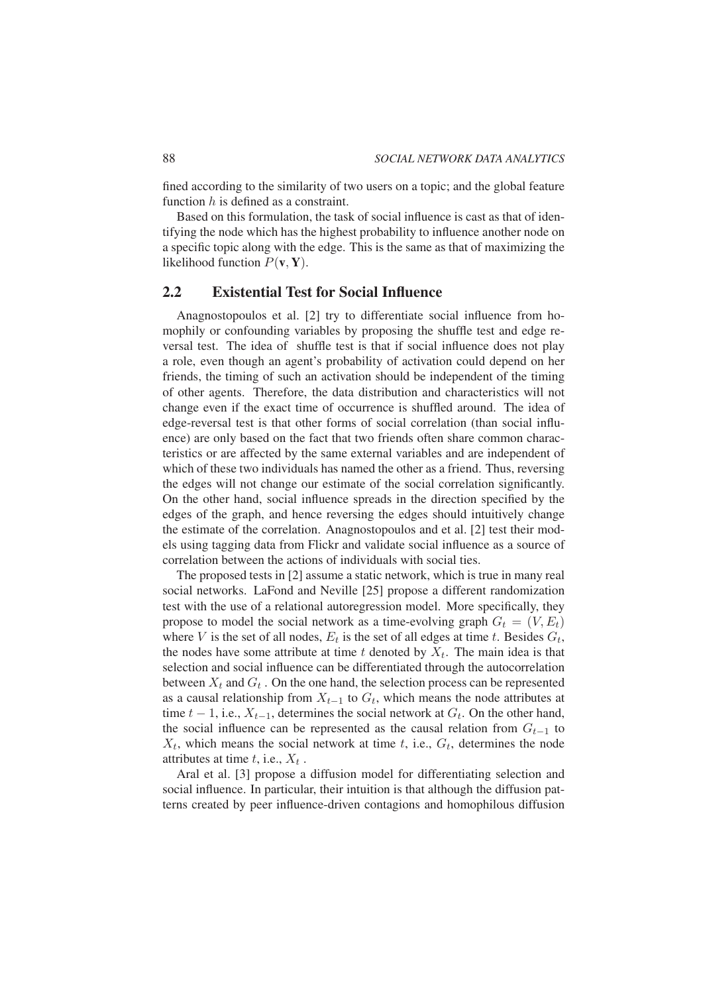fined according to the similarity of two users on a topic; and the global feature function h is defined as a constraint.

Based on this formulation, the task of social influence is cast as that of identifying the node which has the highest probability to influence another node on a specific topic along with the edge. This is the same as that of maximizing the likelihood function  $P(\mathbf{v}, \mathbf{Y})$ .

#### 2.2 Existential Test for Social Influence

Anagnostopoulos et al. [2] try to differentiate social influence from homophily or confounding variables by proposing the shuffle test and edge reversal test. The idea of shuffle test is that if social influence does not play a role, even though an agent's probability of activation could depend on her friends, the timing of such an activation should be independent of the timing of other agents. Therefore, the data distribution and characteristics will not change even if the exact time of occurrence is shuffled around. The idea of edge-reversal test is that other forms of social correlation (than social influence) are only based on the fact that two friends often share common characteristics or are affected by the same external variables and are independent of which of these two individuals has named the other as a friend. Thus, reversing the edges will not change our estimate of the social correlation significantly. On the other hand, social influence spreads in the direction specified by the edges of the graph, and hence reversing the edges should intuitively change the estimate of the correlation. Anagnostopoulos and et al. [2] test their models using tagging data from Flickr and validate social influence as a source of correlation between the actions of individuals with social ties.

The proposed tests in [2] assume a static network, which is true in many real social networks. LaFond and Neville [25] propose a different randomization test with the use of a relational autoregression model. More specifically, they propose to model the social network as a time-evolving graph  $G_t = (V, E_t)$ where V is the set of all nodes,  $E_t$  is the set of all edges at time t. Besides  $G_t$ , the nodes have some attribute at time t denoted by  $X_t$ . The main idea is that selection and social influence can be differentiated through the autocorrelation between  $X_t$  and  $G_t$ . On the one hand, the selection process can be represented as a causal relationship from  $X_{t-1}$  to  $G_t$ , which means the node attributes at time  $t - 1$ , i.e.,  $X_{t-1}$ , determines the social network at  $G_t$ . On the other hand, the social influence can be represented as the causal relation from  $G_{t-1}$  to  $X_t$ , which means the social network at time t, i.e.,  $G_t$ , determines the node attributes at time t, i.e.,  $X_t$ .

Aral et al. [3] propose a diffusion model for differentiating selection and social influence. In particular, their intuition is that although the diffusion patterns created by peer influence-driven contagions and homophilous diffusion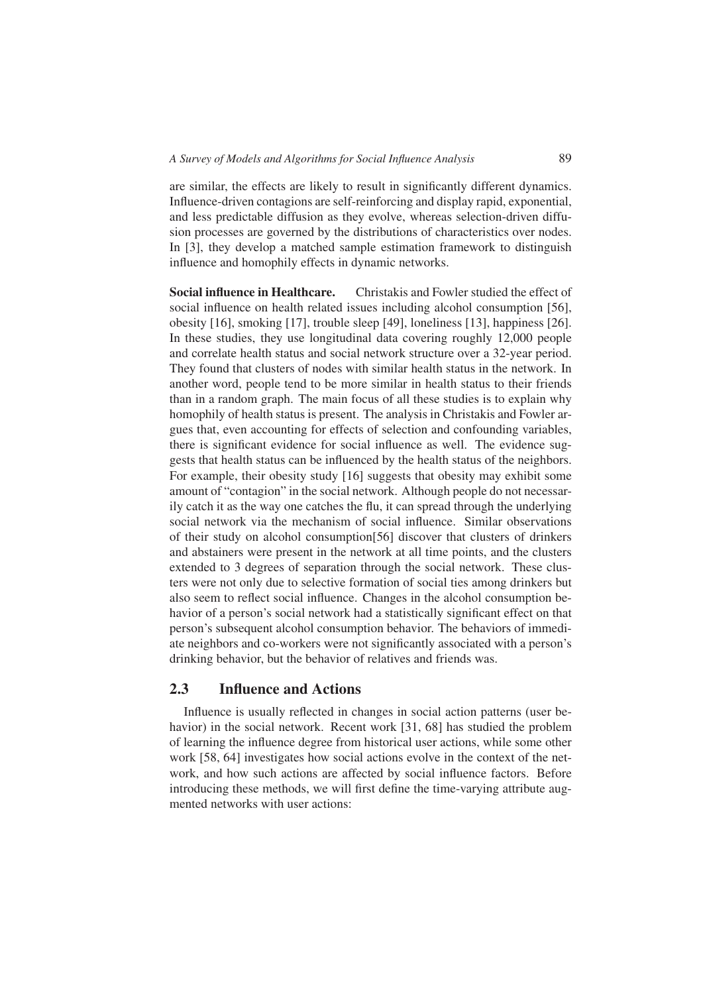are similar, the effects are likely to result in significantly different dynamics. Influence-driven contagions are self-reinforcing and display rapid, exponential, and less predictable diffusion as they evolve, whereas selection-driven diffusion processes are governed by the distributions of characteristics over nodes. In [3], they develop a matched sample estimation framework to distinguish influence and homophily effects in dynamic networks.

Social influence in Healthcare. Christakis and Fowler studied the effect of social influence on health related issues including alcohol consumption [56], obesity [16], smoking [17], trouble sleep [49], loneliness [13], happiness [26]. In these studies, they use longitudinal data covering roughly 12,000 people and correlate health status and social network structure over a 32-year period. They found that clusters of nodes with similar health status in the network. In another word, people tend to be more similar in health status to their friends than in a random graph. The main focus of all these studies is to explain why homophily of health status is present. The analysis in Christakis and Fowler argues that, even accounting for effects of selection and confounding variables, there is significant evidence for social influence as well. The evidence suggests that health status can be influenced by the health status of the neighbors. For example, their obesity study [16] suggests that obesity may exhibit some amount of "contagion" in the social network. Although people do not necessarily catch it as the way one catches the flu, it can spread through the underlying social network via the mechanism of social influence. Similar observations of their study on alcohol consumption[56] discover that clusters of drinkers and abstainers were present in the network at all time points, and the clusters extended to 3 degrees of separation through the social network. These clusters were not only due to selective formation of social ties among drinkers but also seem to reflect social influence. Changes in the alcohol consumption behavior of a person's social network had a statistically significant effect on that person's subsequent alcohol consumption behavior. The behaviors of immediate neighbors and co-workers were not significantly associated with a person's drinking behavior, but the behavior of relatives and friends was.

#### 2.3 Influence and Actions

Influence is usually reflected in changes in social action patterns (user behavior) in the social network. Recent work [31, 68] has studied the problem of learning the influence degree from historical user actions, while some other work [58, 64] investigates how social actions evolve in the context of the network, and how such actions are affected by social influence factors. Before introducing these methods, we will first define the time-varying attribute augmented networks with user actions: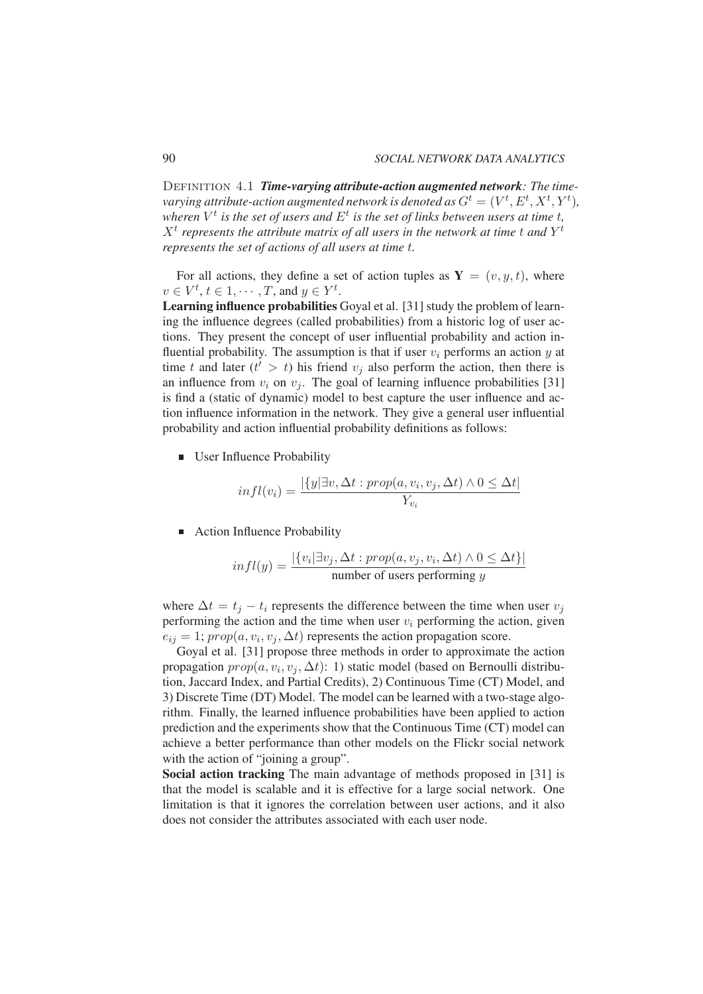DEFINITION 4.1 *Time-varying attribute-action augmented network: The timevarying attribute-action augmented network is denoted as*  $G^t = (V^t, E^t, X^t, Y^t)$ , wheren  $V^t$  is the set of users and  $E^t$  is the set of links between users at time t *wheren*  $V^t$  *is the set of users and*  $E^t$  *is the set of links between users at time t,*  $X<sup>t</sup>$  represents the attribute matrix of all users in the network at time t and  $Y<sup>t</sup>$ *represents the set of actions of all users at time* t*.*

For all actions, they define a set of action tuples as  $Y = (v, y, t)$ , where  $v \in V^t, t \in 1, \cdots, T$ , and  $y \in Y^t$ .<br>Learning influence probabilities

Learning influence probabilities Goyal et al. [31] study the problem of learning the influence degrees (called probabilities) from a historic log of user actions. They present the concept of user influential probability and action influential probability. The assumption is that if user  $v_i$  performs an action y at time t and later  $(t' > t)$  his friend  $v_j$  also perform the action, then there is an influence from  $v_i$  on  $v_j$ . The goal of learning influence probabilities [31] is find a (static of dynamic) model to best capture the user influence and action influence information in the network. They give a general user influential probability and action influential probability definitions as follows:

**User Influence Probability** 

$$
infl(v_i) = \frac{|\{y|\exists v, \Delta t : prop(a, v_i, v_j, \Delta t) \wedge 0 \le \Delta t|}{Y_{v_i}}
$$

**Action Influence Probability** 

$$
infl(y) = \frac{|\{v_i | \exists v_j, \Delta t : prop(a, v_j, v_i, \Delta t) \land 0 \le \Delta t\}|}{number of users performing y}
$$

where  $\Delta t = t_i - t_i$  represents the difference between the time when user  $v_i$ performing the action and the time when user  $v_i$  performing the action, given  $e_{ij} = 1$ ;  $prop(a, v_i, v_j, \Delta t)$  represents the action propagation score.

Goyal et al. [31] propose three methods in order to approximate the action propagation  $prop(a, v_i, v_j, \Delta t)$ : 1) static model (based on Bernoulli distribution, Jaccard Index, and Partial Credits), 2) Continuous Time (CT) Model, and 3) Discrete Time (DT) Model. The model can be learned with a two-stage algorithm. Finally, the learned influence probabilities have been applied to action prediction and the experiments show that the Continuous Time (CT) model can achieve a better performance than other models on the Flickr social network with the action of "joining a group".

Social action tracking The main advantage of methods proposed in [31] is that the model is scalable and it is effective for a large social network. One limitation is that it ignores the correlation between user actions, and it also does not consider the attributes associated with each user node.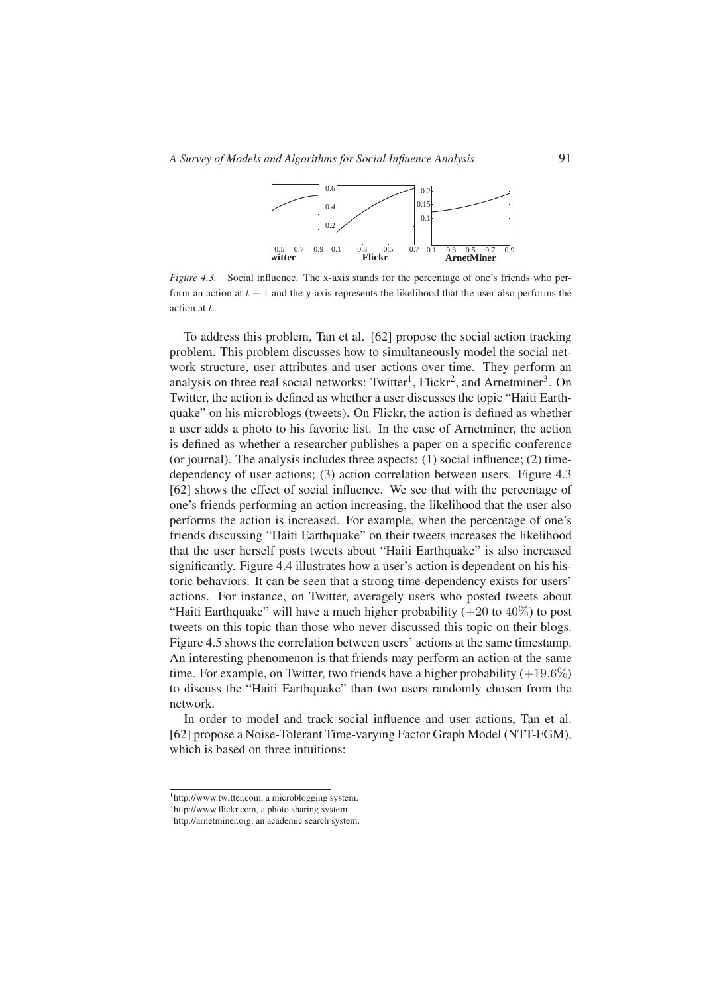

*Figure 4.3.* Social influence. The x-axis stands for the percentage of one's friends who perform an action at  $t - 1$  and the y-axis represents the likelihood that the user also performs the action at t.

To address this problem, Tan et al. [62] propose the social action tracking problem. This problem discusses how to simultaneously model the social network structure, user attributes and user actions over time. They perform an analysis on three real social networks: Twitter<sup>1</sup>, Flickr<sup>2</sup>, and Arnetminer<sup>3</sup>. On Twitter, the action is defined as whether a user discusses the topic "Haiti Earthquake" on his microblogs (tweets). On Flickr, the action is defined as whether a user adds a photo to his favorite list. In the case of Arnetminer, the action is defined as whether a researcher publishes a paper on a specific conference (or journal). The analysis includes three aspects: (1) social influence; (2) timedependency of user actions; (3) action correlation between users. Figure 4.3 [62] shows the effect of social influence. We see that with the percentage of one's friends performing an action increasing, the likelihood that the user also performs the action is increased. For example, when the percentage of one's friends discussing "Haiti Earthquake" on their tweets increases the likelihood that the user herself posts tweets about "Haiti Earthquake" is also increased significantly. Figure 4.4 illustrates how a user's action is dependent on his historic behaviors. It can be seen that a strong time-dependency exists for users' actions. For instance, on Twitter, averagely users who posted tweets about "Haiti Earthquake" will have a much higher probability  $(+20 \text{ to } 40\%)$  to post tweets on this topic than those who never discussed this topic on their blogs. Figure 4.5 shows the correlation between users' actions at the same timestamp. An interesting phenomenon is that friends may perform an action at the same time. For example, on Twitter, two friends have a higher probability  $(+19.6\%)$ to discuss the "Haiti Earthquake" than two users randomly chosen from the network.

In order to model and track social influence and user actions, Tan et al. [62] propose a Noise-Tolerant Time-varying Factor Graph Model (NTT-FGM), which is based on three intuitions:

<sup>1</sup>http://www.twitter.com, a microblogging system.

<sup>2</sup>http://www.flickr.com, a photo sharing system.

<sup>3</sup>http://arnetminer.org, an academic search system.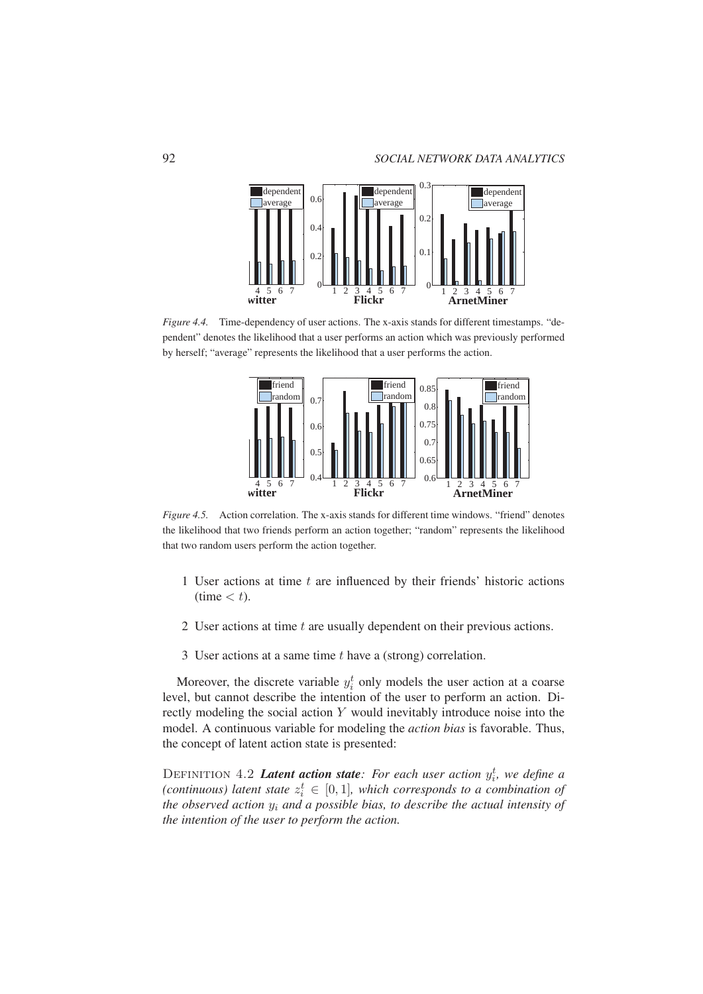

*Figure 4.4.* Time-dependency of user actions. The x-axis stands for different timestamps. "dependent" denotes the likelihood that a user performs an action which was previously performed by herself; "average" represents the likelihood that a user performs the action.



*Figure 4.5.* Action correlation. The x-axis stands for different time windows. "friend" denotes the likelihood that two friends perform an action together; "random" represents the likelihood that two random users perform the action together.

- 1 User actions at time t are influenced by their friends' historic actions  $(time < t)$ .
- 2 User actions at time t are usually dependent on their previous actions.
- 3 User actions at a same time t have a (strong) correlation.

Moreover, the discrete variable  $y_i^t$  only models the user action at a coarse<br>relative cannot describe the intention of the user to perform an action. Dilevel, but cannot describe the intention of the user to perform an action. Directly modeling the social action Y would inevitably introduce noise into the model. A continuous variable for modeling the *action bias* is favorable. Thus, the concept of latent action state is presented:

DEFINITION 4.2 *Latent action state:* For each user action  $y_i^t$ , we define a<br>(continuous) latent state  $z^t \in [0, 1]$  which corresponds to a combination of (continuous) latent state  $z_i^t \in [0,1]$ , which corresponds to a combination of<br>the observed action *w* and a possible bias, to describe the actual intensity of *the observed action* <sup>y</sup>i *and a possible bias, to describe the actual intensity of the intention of the user to perform the action.*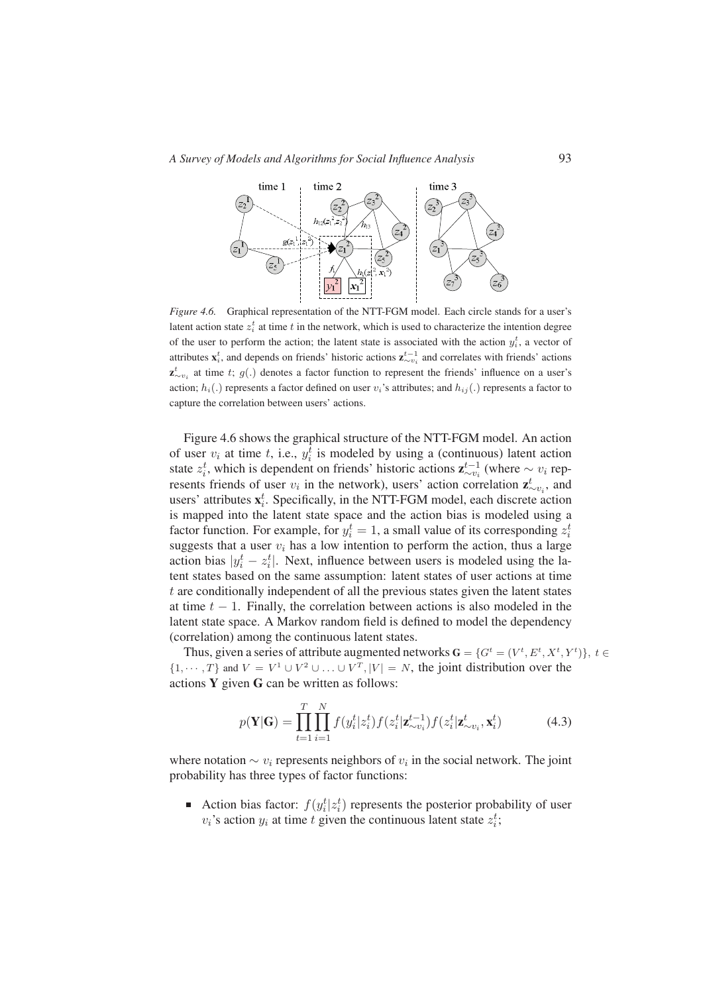

*Figure 4.6.* Graphical representation of the NTT-FGM model. Each circle stands for a user's latent action state  $z_t^t$  at time t in the network, which is used to characterize the intention degree of the user to perform the action; the latent state is associated with the action  $y_i^t$ , a vector of attributes  $\mathbf{x}_i^t$ , and depends on friends' historic actions  $\mathbf{z}_{\sim v_i}^{t-1}$  and correlates with friends' actions  $z^t_{\sim v_i}$  at time t; g(.) denotes a factor function to represent the friends' influence on a user's action;  $h_i(.)$  represents a factor defined on user  $v_i$ 's attributes; and  $h_{ij}(.)$  represents a factor to capture the correlation between users' actions.

Figure 4.6 shows the graphical structure of the NTT-FGM model. An action of user  $v_i$  at time t, i.e.,  $y_i^t$  is modeled by using a (continuous) latent action<br>state  $z^t$  which is dependent on friends' historic actions  $z^{t-1}$  (where  $\alpha, v$  repstate  $z_i^t$ , which is dependent on friends' historic actions  $\mathbf{z}_{\sim v_i}^{t-1}$  (where  $\sim v_i$  rep-<br>resents friends of user *v*<sub>i</sub> in the network) users' action correlation  $\mathbf{z}^t$  and resents friends of user  $v_i$  in the network), users' action correlation  $\mathbf{z}_{\sim v_i}^t$ , and<br>users' attributes  $\mathbf{x}^t$ . Specifically, in the NTT EGM model, each discrete action vectors include of stead of  $v_i$  in the network), stead contracted  $z_{\sim v_i}$ , and users' attributes  $x_i^t$ . Specifically, in the NTT-FGM model, each discrete action is manned into the latent state space and the action bia is mapped into the latent state space and the action bias is modeled using a factor function. For example, for  $y_i^t = 1$ , a small value of its corresponding  $z_i^t$ <br>suggests that a user *y*; has a low intention to perform the action, thus a large suggests that a user  $v_i$  has a low intention to perform the action, thus a large<br>exting his let  $\mathbf{z}^{t}$ . Not influence between users is modeled using the la action bias  $|y_i^t - z_i^t|$ . Next, influence between users is modeled using the latent states based on the same assumption: latent states of user actions at time tent states based on the same assumption: latent states of user actions at time t are conditionally independent of all the previous states given the latent states at time  $t - 1$ . Finally, the correlation between actions is also modeled in the latent state space. A Markov random field is defined to model the dependency (correlation) among the continuous latent states.

Thus, given a series of attribute augmented networks  $G = \{G^t = (V^t, E^t, X^t, Y^t)\}, t \in$  $\{1, \dots, T\}$  and  $V = V^1 \cup V^2 \cup \dots \cup V^T$ ,  $|V| = N$ , the joint distribution over the actions Y given G can be written as follows:

$$
p(\mathbf{Y}|\mathbf{G}) = \prod_{t=1}^{T} \prod_{i=1}^{N} f(y_i^t | z_i^t) f(z_i^t | \mathbf{z}_{\sim v_i}^{t-1}) f(z_i^t | \mathbf{z}_{\sim v_i}^t, \mathbf{x}_i^t)
$$
(4.3)

where notation  $\sim v_i$  represents neighbors of  $v_i$  in the social network. The joint probability has three types of factor functions:

Action bias factor:  $f(y_i^t | z_i^t)$  represents the posterior probability of user<br>*i*<sup>2</sup> action *i*<sub>2</sub> at time *t* given the continuous latent state  $z^t$ .  $v_i$ 's action  $y_i$  at time t given the continuous latent state  $z_i^t$ ;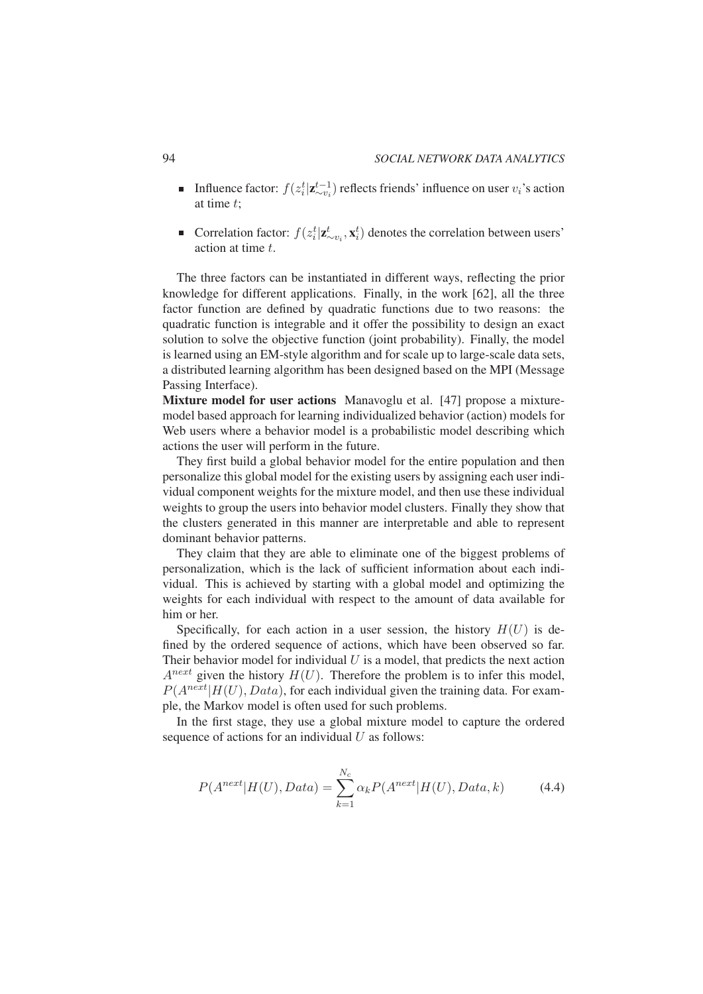- Influence factor:  $f(z_i^t | \mathbf{z}_{\sim v_i}^{t-1})$  reflects friends' influence on user  $v_i$ 's action at time *t*: at time t;
- Correlation factor:  $f(z_i^t | z^t_{\sim v_i}, \mathbf{x}_i^t)$  denotes the correlation between users' action at time *t* action at time t.

The three factors can be instantiated in different ways, reflecting the prior knowledge for different applications. Finally, in the work [62], all the three factor function are defined by quadratic functions due to two reasons: the quadratic function is integrable and it offer the possibility to design an exact solution to solve the objective function (joint probability). Finally, the model is learned using an EM-style algorithm and for scale up to large-scale data sets, a distributed learning algorithm has been designed based on the MPI (Message Passing Interface).

Mixture model for user actions Manavoglu et al. [47] propose a mixturemodel based approach for learning individualized behavior (action) models for Web users where a behavior model is a probabilistic model describing which actions the user will perform in the future.

They first build a global behavior model for the entire population and then personalize this global model for the existing users by assigning each user individual component weights for the mixture model, and then use these individual weights to group the users into behavior model clusters. Finally they show that the clusters generated in this manner are interpretable and able to represent dominant behavior patterns.

They claim that they are able to eliminate one of the biggest problems of personalization, which is the lack of sufficient information about each individual. This is achieved by starting with a global model and optimizing the weights for each individual with respect to the amount of data available for him or her.

Specifically, for each action in a user session, the history  $H(U)$  is defined by the ordered sequence of actions, which have been observed so far. Their behavior model for individual  $U$  is a model, that predicts the next action  $A^{next}$  given the history  $H(U)$ . Therefore the problem is to infer this model,  $P(A^{next}|H(U), Data)$ , for each individual given the training data. For example, the Markov model is often used for such problems.

In the first stage, they use a global mixture model to capture the ordered sequence of actions for an individual  $U$  as follows:

$$
P(A^{next}|H(U), Data) = \sum_{k=1}^{N_c} \alpha_k P(A^{next}|H(U), Data, k)
$$
 (4.4)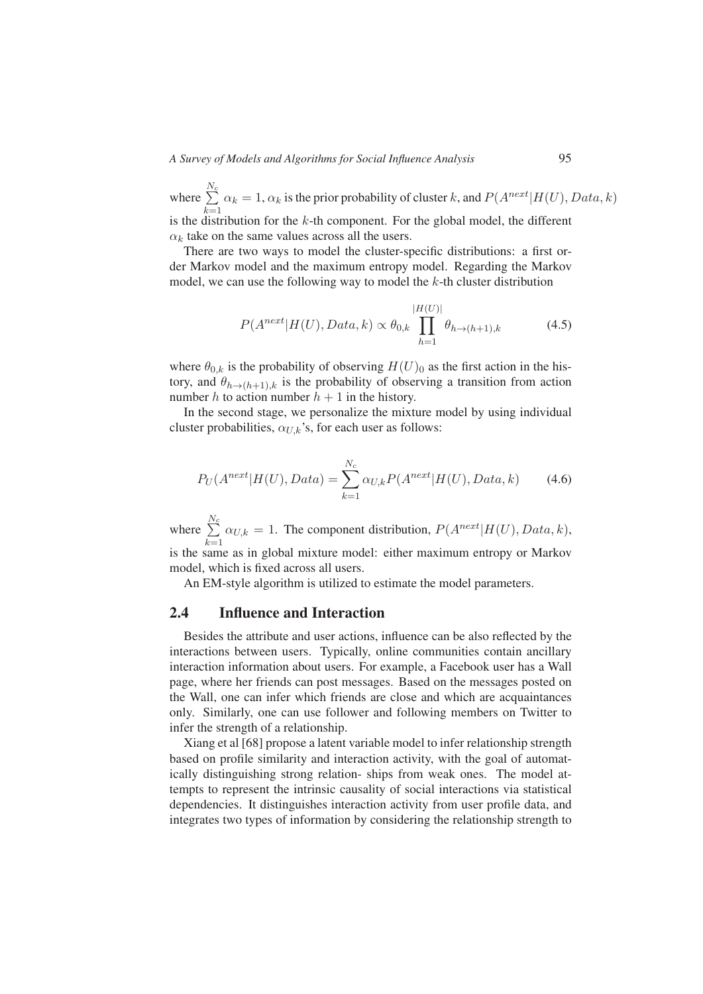*A Survey of Models and Algorithms for Social Influence Analysis* 95

where  $\sum_{k=1}^{N_c} \alpha_k = 1$ ,  $\alpha_k$  is the prior probability of cluster k, and  $P(A^{next}|H(U), Data, k)$ is the distribution for the k-th component. For the global model, the different

 $\alpha_k$  take on the same values across all the users.

There are two ways to model the cluster-specific distributions: a first order Markov model and the maximum entropy model. Regarding the Markov model, we can use the following way to model the  $k$ -th cluster distribution

$$
P(A^{next}|H(U), Data, k) \propto \theta_{0,k} \prod_{h=1}^{|H(U)|} \theta_{h \to (h+1),k}
$$
 (4.5)

where  $\theta_{0,k}$  is the probability of observing  $H(U)_0$  as the first action in the history, and  $\theta_{h\to(h+1),k}$  is the probability of observing a transition from action number h to action number  $h + 1$  in the history.

In the second stage, we personalize the mixture model by using individual cluster probabilities,  $\alpha_{U,k}$ 's, for each user as follows:

$$
P_U(A^{next}|H(U), Data) = \sum_{k=1}^{N_c} \alpha_{U,k} P(A^{next}|H(U), Data, k)
$$
 (4.6)

where  $\sum_{k=1}^{N_c} \alpha_{U,k} = 1$ . The component distribution,  $P(A^{next}|H(U), Data, k)$ , is the same as in global mixture model: either maximum entropy or Markov

model, which is fixed across all users.

An EM-style algorithm is utilized to estimate the model parameters.

#### 2.4 Influence and Interaction

Besides the attribute and user actions, influence can be also reflected by the interactions between users. Typically, online communities contain ancillary interaction information about users. For example, a Facebook user has a Wall page, where her friends can post messages. Based on the messages posted on the Wall, one can infer which friends are close and which are acquaintances only. Similarly, one can use follower and following members on Twitter to infer the strength of a relationship.

Xiang et al [68] propose a latent variable model to infer relationship strength based on profile similarity and interaction activity, with the goal of automatically distinguishing strong relation- ships from weak ones. The model attempts to represent the intrinsic causality of social interactions via statistical dependencies. It distinguishes interaction activity from user profile data, and integrates two types of information by considering the relationship strength to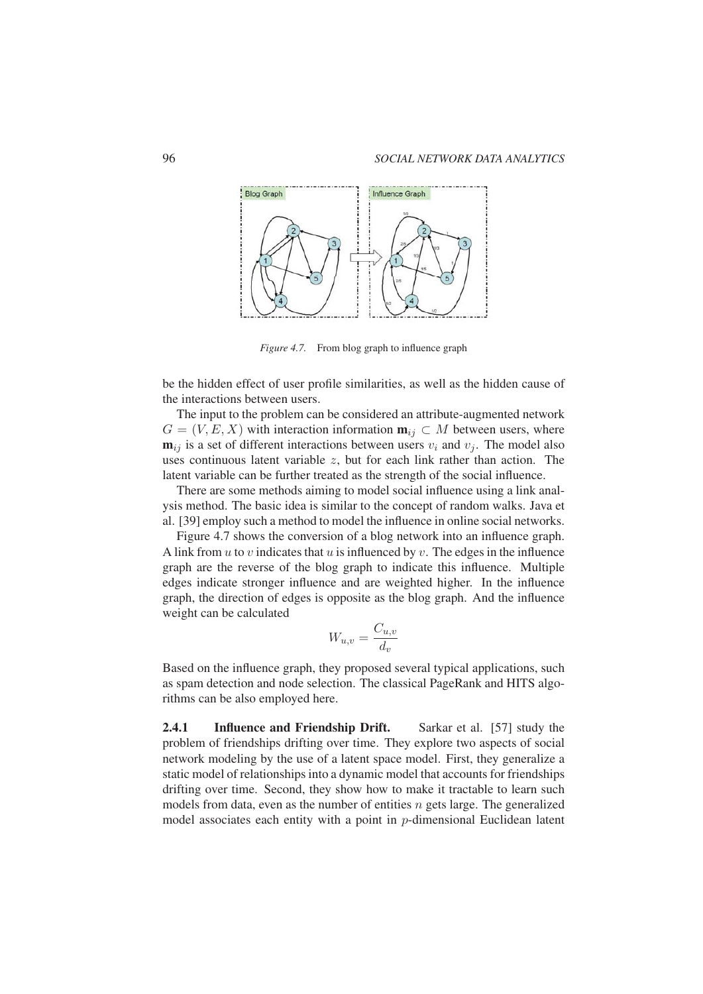

*Figure 4.7.* From blog graph to influence graph

be the hidden effect of user profile similarities, as well as the hidden cause of the interactions between users.

The input to the problem can be considered an attribute-augmented network  $G = (V, E, X)$  with interaction information  $\mathbf{m}_{ij} \subset M$  between users, where  **is a set of different interactions between users**  $v_i$  **and**  $v_j$ **. The model also** uses continuous latent variable  $z$ , but for each link rather than action. The latent variable can be further treated as the strength of the social influence.

There are some methods aiming to model social influence using a link analysis method. The basic idea is similar to the concept of random walks. Java et al. [39] employ such a method to model the influence in online social networks.

Figure 4.7 shows the conversion of a blog network into an influence graph. A link from  $u$  to  $v$  indicates that  $u$  is influenced by  $v$ . The edges in the influence graph are the reverse of the blog graph to indicate this influence. Multiple edges indicate stronger influence and are weighted higher. In the influence graph, the direction of edges is opposite as the blog graph. And the influence weight can be calculated

$$
W_{u,v} = \frac{C_{u,v}}{d_v}
$$

Based on the influence graph, they proposed several typical applications, such as spam detection and node selection. The classical PageRank and HITS algorithms can be also employed here.

2.4.1 Influence and Friendship Drift. Sarkar et al. [57] study the problem of friendships drifting over time. They explore two aspects of social network modeling by the use of a latent space model. First, they generalize a static model of relationships into a dynamic model that accounts for friendships drifting over time. Second, they show how to make it tractable to learn such models from data, even as the number of entities  $n$  gets large. The generalized model associates each entity with a point in p-dimensional Euclidean latent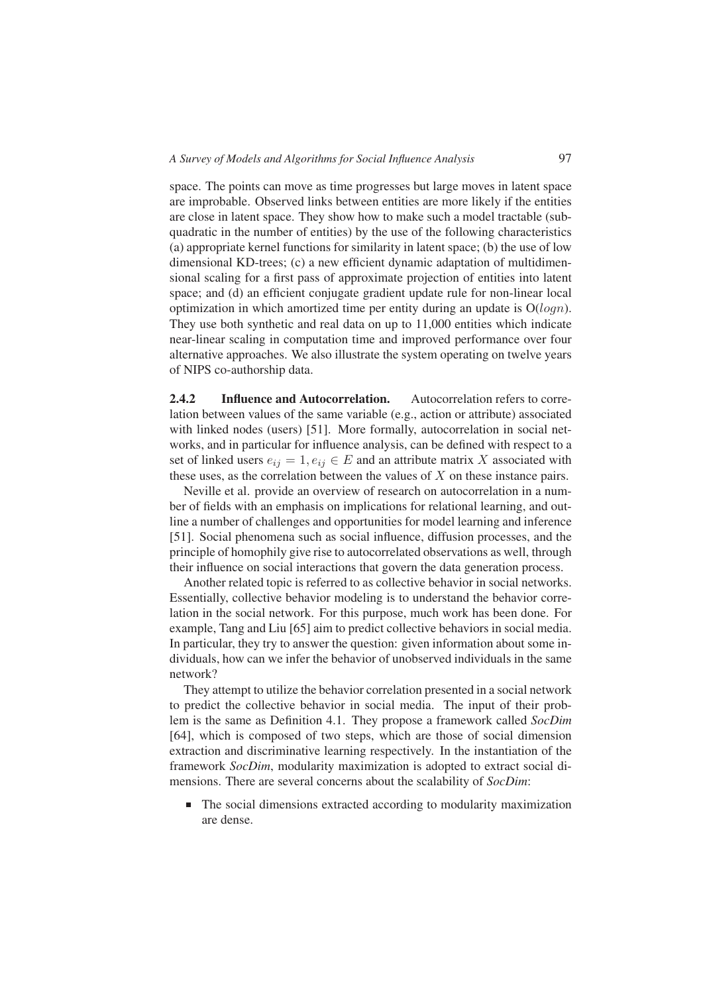space. The points can move as time progresses but large moves in latent space are improbable. Observed links between entities are more likely if the entities are close in latent space. They show how to make such a model tractable (subquadratic in the number of entities) by the use of the following characteristics (a) appropriate kernel functions for similarity in latent space; (b) the use of low dimensional KD-trees; (c) a new efficient dynamic adaptation of multidimensional scaling for a first pass of approximate projection of entities into latent space; and (d) an efficient conjugate gradient update rule for non-linear local optimization in which amortized time per entity during an update is  $O(logn)$ . They use both synthetic and real data on up to 11,000 entities which indicate near-linear scaling in computation time and improved performance over four alternative approaches. We also illustrate the system operating on twelve years of NIPS co-authorship data.

2.4.2 Influence and Autocorrelation. Autocorrelation refers to correlation between values of the same variable (e.g., action or attribute) associated with linked nodes (users) [51]. More formally, autocorrelation in social networks, and in particular for influence analysis, can be defined with respect to a set of linked users  $e_{ij} = 1, e_{ij} \in E$  and an attribute matrix X associated with these uses, as the correlation between the values of  $X$  on these instance pairs.

Neville et al. provide an overview of research on autocorrelation in a number of fields with an emphasis on implications for relational learning, and outline a number of challenges and opportunities for model learning and inference [51]. Social phenomena such as social influence, diffusion processes, and the principle of homophily give rise to autocorrelated observations as well, through their influence on social interactions that govern the data generation process.

Another related topic is referred to as collective behavior in social networks. Essentially, collective behavior modeling is to understand the behavior correlation in the social network. For this purpose, much work has been done. For example, Tang and Liu [65] aim to predict collective behaviors in social media. In particular, they try to answer the question: given information about some individuals, how can we infer the behavior of unobserved individuals in the same network?

They attempt to utilize the behavior correlation presented in a social network to predict the collective behavior in social media. The input of their problem is the same as Definition 4.1. They propose a framework called *SocDim* [64], which is composed of two steps, which are those of social dimension extraction and discriminative learning respectively. In the instantiation of the framework *SocDim*, modularity maximization is adopted to extract social dimensions. There are several concerns about the scalability of *SocDim*:

• The social dimensions extracted according to modularity maximization are dense.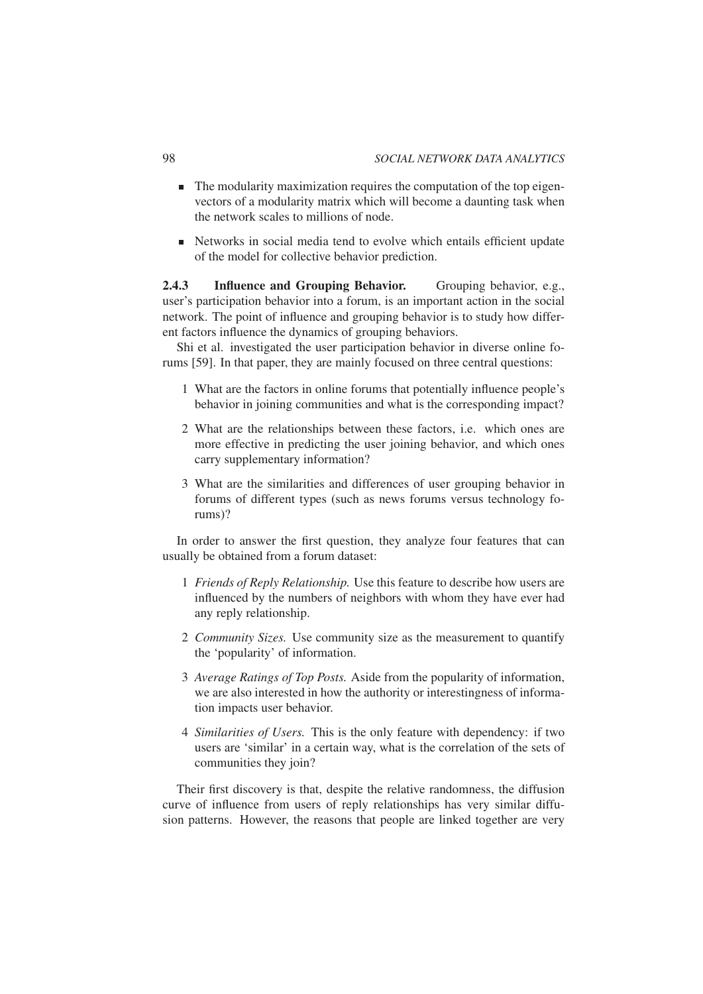- The modularity maximization requires the computation of the top eigenvectors of a modularity matrix which will become a daunting task when the network scales to millions of node.
- Networks in social media tend to evolve which entails efficient update of the model for collective behavior prediction.

2.4.3 Influence and Grouping Behavior. Grouping behavior, e.g., user's participation behavior into a forum, is an important action in the social network. The point of influence and grouping behavior is to study how different factors influence the dynamics of grouping behaviors.

Shi et al. investigated the user participation behavior in diverse online forums [59]. In that paper, they are mainly focused on three central questions:

- 1 What are the factors in online forums that potentially influence people's behavior in joining communities and what is the corresponding impact?
- 2 What are the relationships between these factors, i.e. which ones are more effective in predicting the user joining behavior, and which ones carry supplementary information?
- 3 What are the similarities and differences of user grouping behavior in forums of different types (such as news forums versus technology forums)?

In order to answer the first question, they analyze four features that can usually be obtained from a forum dataset:

- 1 *Friends of Reply Relationship.* Use this feature to describe how users are influenced by the numbers of neighbors with whom they have ever had any reply relationship.
- 2 *Community Sizes.* Use community size as the measurement to quantify the 'popularity' of information.
- 3 *Average Ratings of Top Posts.* Aside from the popularity of information, we are also interested in how the authority or interestingness of information impacts user behavior.
- 4 *Similarities of Users.* This is the only feature with dependency: if two users are 'similar' in a certain way, what is the correlation of the sets of communities they join?

Their first discovery is that, despite the relative randomness, the diffusion curve of influence from users of reply relationships has very similar diffusion patterns. However, the reasons that people are linked together are very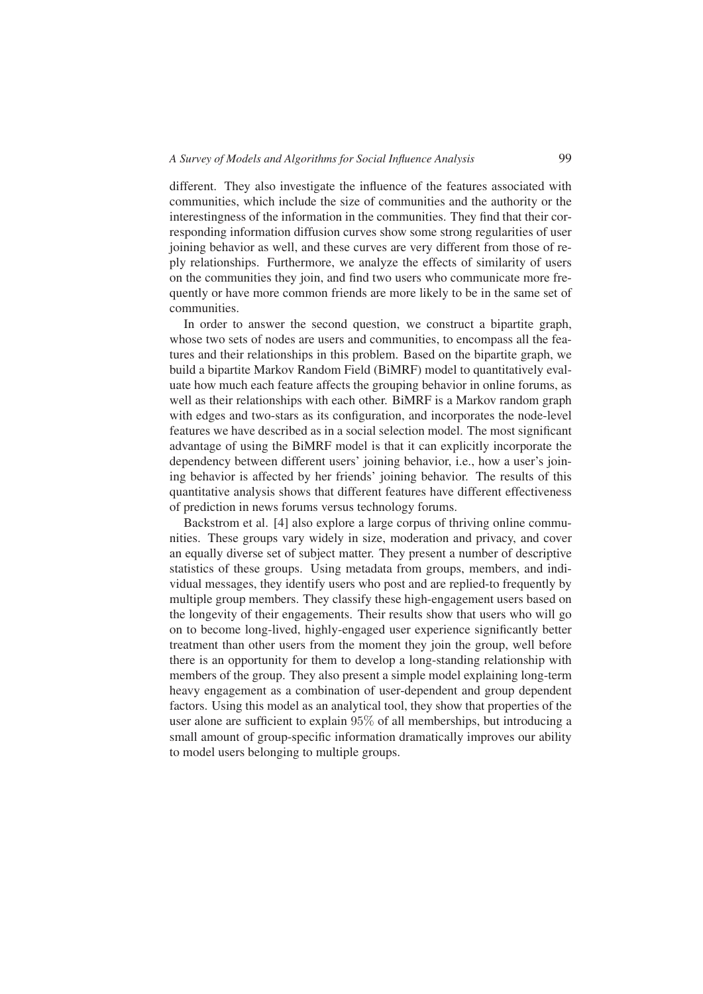different. They also investigate the influence of the features associated with communities, which include the size of communities and the authority or the interestingness of the information in the communities. They find that their corresponding information diffusion curves show some strong regularities of user joining behavior as well, and these curves are very different from those of reply relationships. Furthermore, we analyze the effects of similarity of users on the communities they join, and find two users who communicate more frequently or have more common friends are more likely to be in the same set of communities.

In order to answer the second question, we construct a bipartite graph, whose two sets of nodes are users and communities, to encompass all the features and their relationships in this problem. Based on the bipartite graph, we build a bipartite Markov Random Field (BiMRF) model to quantitatively evaluate how much each feature affects the grouping behavior in online forums, as well as their relationships with each other. BiMRF is a Markov random graph with edges and two-stars as its configuration, and incorporates the node-level features we have described as in a social selection model. The most significant advantage of using the BiMRF model is that it can explicitly incorporate the dependency between different users' joining behavior, i.e., how a user's joining behavior is affected by her friends' joining behavior. The results of this quantitative analysis shows that different features have different effectiveness of prediction in news forums versus technology forums.

Backstrom et al. [4] also explore a large corpus of thriving online communities. These groups vary widely in size, moderation and privacy, and cover an equally diverse set of subject matter. They present a number of descriptive statistics of these groups. Using metadata from groups, members, and individual messages, they identify users who post and are replied-to frequently by multiple group members. They classify these high-engagement users based on the longevity of their engagements. Their results show that users who will go on to become long-lived, highly-engaged user experience significantly better treatment than other users from the moment they join the group, well before there is an opportunity for them to develop a long-standing relationship with members of the group. They also present a simple model explaining long-term heavy engagement as a combination of user-dependent and group dependent factors. Using this model as an analytical tool, they show that properties of the user alone are sufficient to explain 95% of all memberships, but introducing a small amount of group-specific information dramatically improves our ability to model users belonging to multiple groups.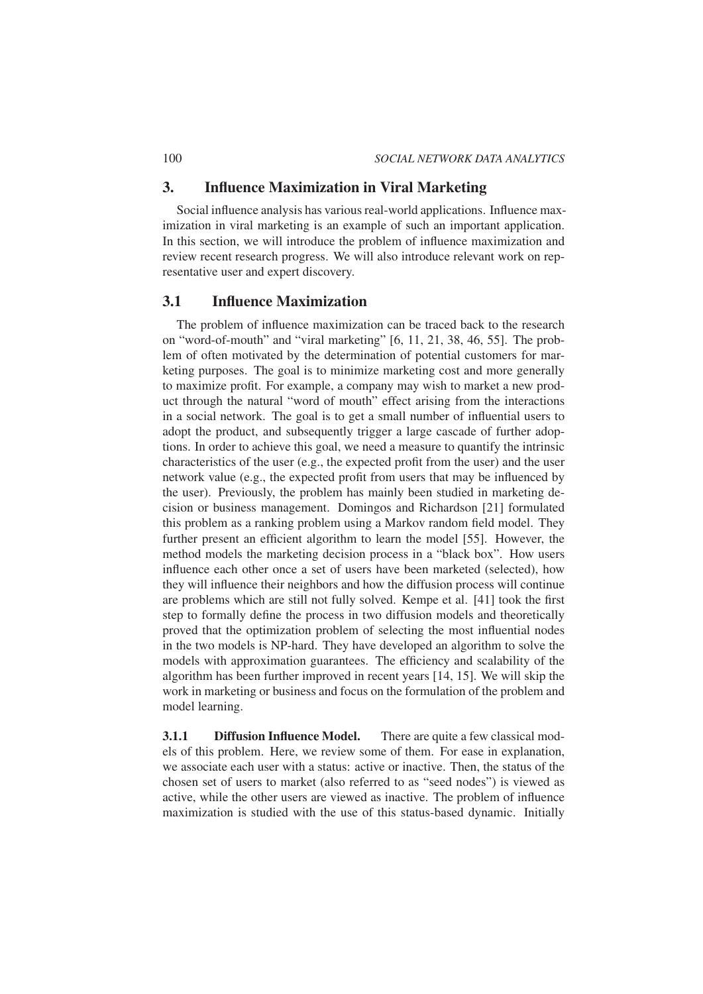## 3. Influence Maximization in Viral Marketing

Social influence analysis has various real-world applications. Influence maximization in viral marketing is an example of such an important application. In this section, we will introduce the problem of influence maximization and review recent research progress. We will also introduce relevant work on representative user and expert discovery.

#### 3.1 Influence Maximization

The problem of influence maximization can be traced back to the research on "word-of-mouth" and "viral marketing" [6, 11, 21, 38, 46, 55]. The problem of often motivated by the determination of potential customers for marketing purposes. The goal is to minimize marketing cost and more generally to maximize profit. For example, a company may wish to market a new product through the natural "word of mouth" effect arising from the interactions in a social network. The goal is to get a small number of influential users to adopt the product, and subsequently trigger a large cascade of further adoptions. In order to achieve this goal, we need a measure to quantify the intrinsic characteristics of the user (e.g., the expected profit from the user) and the user network value (e.g., the expected profit from users that may be influenced by the user). Previously, the problem has mainly been studied in marketing decision or business management. Domingos and Richardson [21] formulated this problem as a ranking problem using a Markov random field model. They further present an efficient algorithm to learn the model [55]. However, the method models the marketing decision process in a "black box". How users influence each other once a set of users have been marketed (selected), how they will influence their neighbors and how the diffusion process will continue are problems which are still not fully solved. Kempe et al. [41] took the first step to formally define the process in two diffusion models and theoretically proved that the optimization problem of selecting the most influential nodes in the two models is NP-hard. They have developed an algorithm to solve the models with approximation guarantees. The efficiency and scalability of the algorithm has been further improved in recent years [14, 15]. We will skip the work in marketing or business and focus on the formulation of the problem and model learning.

3.1.1 Diffusion Influence Model. There are quite a few classical models of this problem. Here, we review some of them. For ease in explanation, we associate each user with a status: active or inactive. Then, the status of the chosen set of users to market (also referred to as "seed nodes") is viewed as active, while the other users are viewed as inactive. The problem of influence maximization is studied with the use of this status-based dynamic. Initially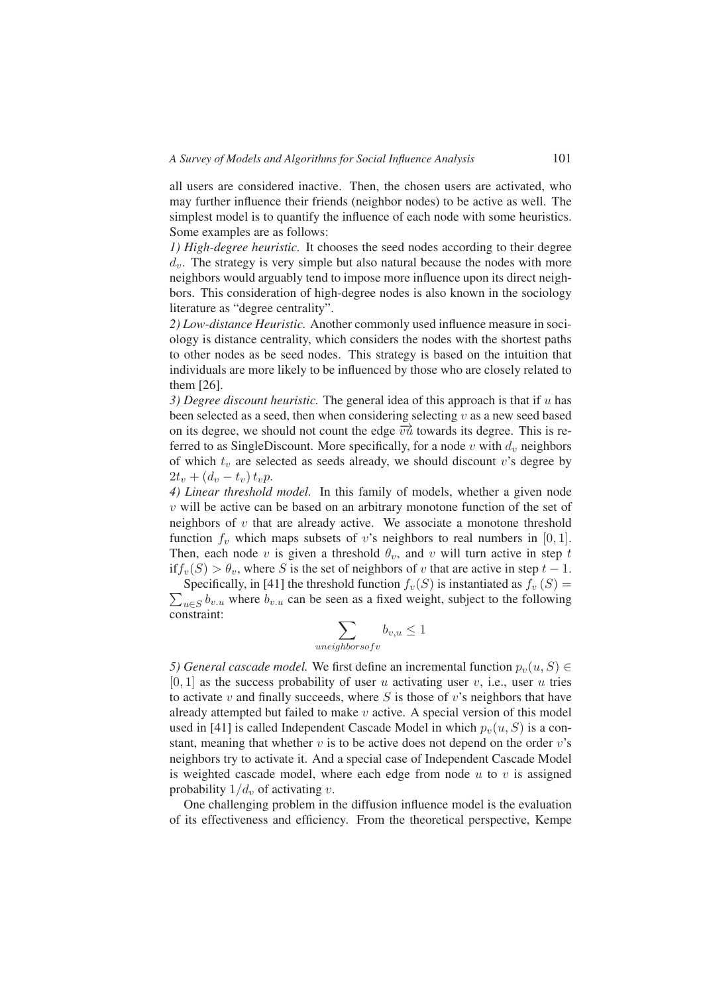all users are considered inactive. Then, the chosen users are activated, who may further influence their friends (neighbor nodes) to be active as well. The simplest model is to quantify the influence of each node with some heuristics. Some examples are as follows:

*1) High-degree heuristic.* It chooses the seed nodes according to their degree  $d_v$ . The strategy is very simple but also natural because the nodes with more neighbors would arguably tend to impose more influence upon its direct neighbors. This consideration of high-degree nodes is also known in the sociology literature as "degree centrality".

*2) Low-distance Heuristic.* Another commonly used influence measure in sociology is distance centrality, which considers the nodes with the shortest paths to other nodes as be seed nodes. This strategy is based on the intuition that individuals are more likely to be influenced by those who are closely related to them [26].

*3) Degree discount heuristic.* The general idea of this approach is that if u has been selected as a seed, then when considering selecting  $v$  as a new seed based on its degree, we should not count the edge  $\overrightarrow{vu}$  towards its degree. This is referred to as SingleDiscount. More specifically, for a node v with  $d<sub>v</sub>$  neighbors of which  $t_v$  are selected as seeds already, we should discount v's degree by  $2t_v + (d_v - t_v)t_v p$ .

*4) Linear threshold model.* In this family of models, whether a given node  $v$  will be active can be based on an arbitrary monotone function of the set of neighbors of  $v$  that are already active. We associate a monotone threshold function  $f_v$  which maps subsets of v's neighbors to real numbers in [0, 1]. Then, each node v is given a threshold  $\theta_v$ , and v will turn active in step t if  $f_v(S) > \theta_v$ , where S is the set of neighbors of v that are active in step  $t - 1$ .

 $\sum_{u \in S} b_{v,u}$  where  $b_{v,u}$  can be seen as a fixed weight, subject to the following constraint: Specifically, in [41] the threshold function  $f_v(S)$  is instantiated as  $f_v(S)$  = constraint:

$$
\sum_{uneighborsofv} b_{v,u} \le 1
$$

 $\overline{u}$ 

*5) General cascade model.* We first define an incremental function  $p_v(u, S) \in$  $[0, 1]$  as the success probability of user u activating user v, i.e., user u tries to activate  $v$  and finally succeeds, where  $S$  is those of  $v$ 's neighbors that have already attempted but failed to make  $v$  active. A special version of this model used in [41] is called Independent Cascade Model in which  $p_n(u, S)$  is a constant, meaning that whether  $v$  is to be active does not depend on the order  $v$ 's neighbors try to activate it. And a special case of Independent Cascade Model is weighted cascade model, where each edge from node  $u$  to  $v$  is assigned probability  $1/d_v$  of activating v.

One challenging problem in the diffusion influence model is the evaluation of its effectiveness and efficiency. From the theoretical perspective, Kempe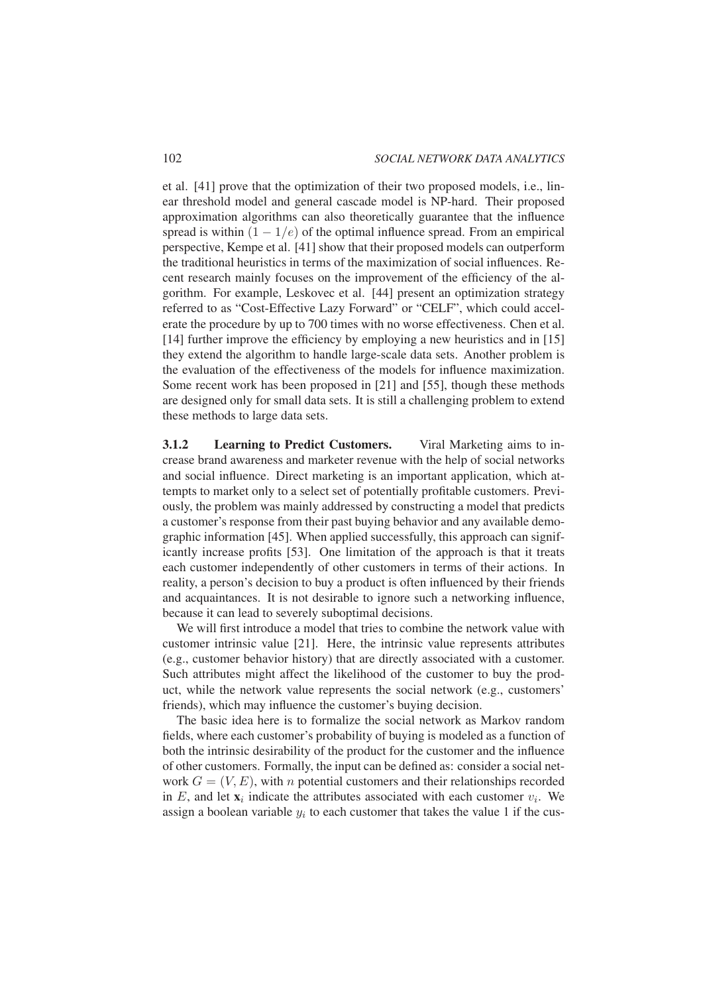et al. [41] prove that the optimization of their two proposed models, i.e., linear threshold model and general cascade model is NP-hard. Their proposed approximation algorithms can also theoretically guarantee that the influence spread is within  $(1 - 1/e)$  of the optimal influence spread. From an empirical perspective, Kempe et al. [41] show that their proposed models can outperform the traditional heuristics in terms of the maximization of social influences. Recent research mainly focuses on the improvement of the efficiency of the algorithm. For example, Leskovec et al. [44] present an optimization strategy referred to as "Cost-Effective Lazy Forward" or "CELF", which could accelerate the procedure by up to 700 times with no worse effectiveness. Chen et al. [14] further improve the efficiency by employing a new heuristics and in [15] they extend the algorithm to handle large-scale data sets. Another problem is the evaluation of the effectiveness of the models for influence maximization. Some recent work has been proposed in [21] and [55], though these methods are designed only for small data sets. It is still a challenging problem to extend these methods to large data sets.

3.1.2 Learning to Predict Customers. Viral Marketing aims to increase brand awareness and marketer revenue with the help of social networks and social influence. Direct marketing is an important application, which attempts to market only to a select set of potentially profitable customers. Previously, the problem was mainly addressed by constructing a model that predicts a customer's response from their past buying behavior and any available demographic information [45]. When applied successfully, this approach can significantly increase profits [53]. One limitation of the approach is that it treats each customer independently of other customers in terms of their actions. In reality, a person's decision to buy a product is often influenced by their friends and acquaintances. It is not desirable to ignore such a networking influence, because it can lead to severely suboptimal decisions.

We will first introduce a model that tries to combine the network value with customer intrinsic value [21]. Here, the intrinsic value represents attributes (e.g., customer behavior history) that are directly associated with a customer. Such attributes might affect the likelihood of the customer to buy the product, while the network value represents the social network (e.g., customers' friends), which may influence the customer's buying decision.

The basic idea here is to formalize the social network as Markov random fields, where each customer's probability of buying is modeled as a function of both the intrinsic desirability of the product for the customer and the influence of other customers. Formally, the input can be defined as: consider a social network  $G = (V, E)$ , with n potential customers and their relationships recorded in E, and let  $\mathbf{x}_i$  indicate the attributes associated with each customer  $v_i$ . We assign a boolean variable  $y_i$  to each customer that takes the value 1 if the cus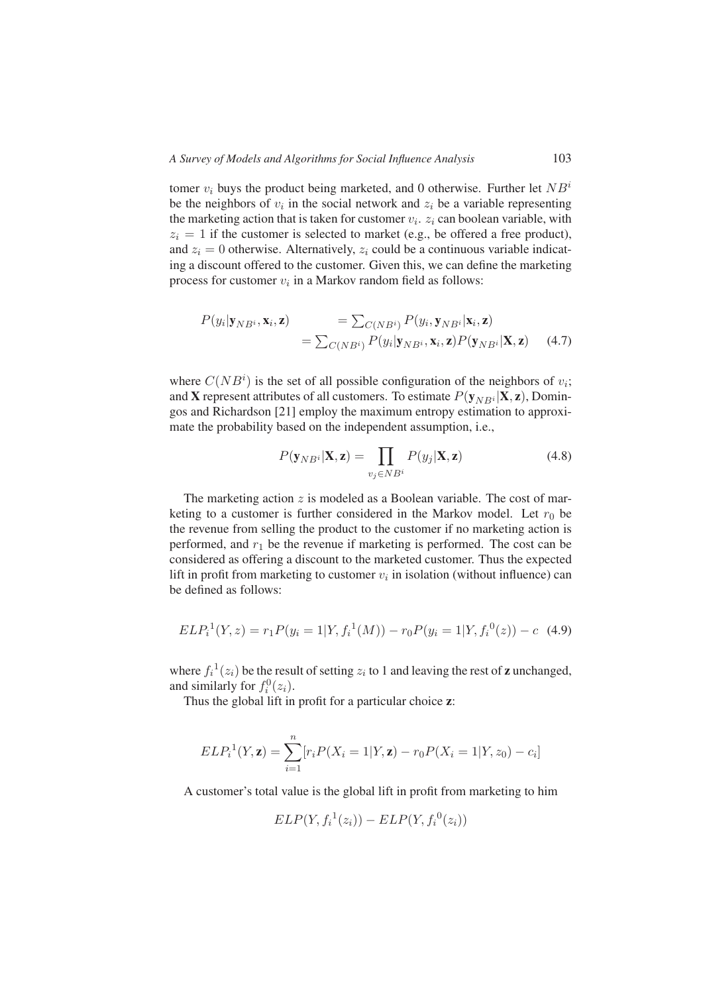tomer  $v_i$  buys the product being marketed, and 0 otherwise. Further let  $NB^i$ be the neighbors of  $v_i$  in the social network and  $z_i$  be a variable representing the marketing action that is taken for customer  $v_i$ .  $z_i$  can boolean variable, with  $z_i = 1$  if the customer is selected to market (e.g., be offered a free product), and  $z_i = 0$  otherwise. Alternatively,  $z_i$  could be a continuous variable indicating a discount offered to the customer. Given this, we can define the marketing process for customer  $v_i$  in a Markov random field as follows:

$$
P(y_i|\mathbf{y}_{NB^i},\mathbf{x}_i,\mathbf{z}) = \sum_{C(NB^i)} P(y_i,\mathbf{y}_{NB^i}|\mathbf{x}_i,\mathbf{z})
$$
  
= 
$$
\sum_{C(NB^i)} P(y_i|\mathbf{y}_{NB^i},\mathbf{x}_i,\mathbf{z}) P(\mathbf{y}_{NB^i}|\mathbf{X},\mathbf{z})
$$
 (4.7)

where  $C(NB^i)$  is the set of all possible configuration of the neighbors of  $v_i$ ;<br>and **X** represent attributes of all customers. To estimate  $P(\mathbf{x}_{\text{new}}|\mathbf{X}|\mathbf{z})$ . Dominand **X** represent attributes of all customers. To estimate  $P(\mathbf{y}_{NB} | \mathbf{X}, \mathbf{z})$ , Domingos and Richardson [21] employ the maximum entropy estimation to approximate the probability based on the independent assumption, i.e.,

$$
P(\mathbf{y}_{NB^i}|\mathbf{X}, \mathbf{z}) = \prod_{v_j \in NB^i} P(y_j|\mathbf{X}, \mathbf{z})
$$
(4.8)

The marketing action  $z$  is modeled as a Boolean variable. The cost of marketing to a customer is further considered in the Markov model. Let  $r_0$  be the revenue from selling the product to the customer if no marketing action is performed, and  $r_1$  be the revenue if marketing is performed. The cost can be considered as offering a discount to the marketed customer. Thus the expected lift in profit from marketing to customer  $v_i$  in isolation (without influence) can be defined as follows:

$$
ELPi1(Y, z) = r1P(yi = 1|Y, fi1(M)) - r0P(yi = 1|Y, fi0(z)) - c
$$
 (4.9)

where  $f_i^1(z_i)$  be the result of setting  $z_i$  to 1 and leaving the rest of **z** unchanged, and similarly for  $f^0(z_i)$ and similarly for  $f_i^0(z_i)$ .<br>Thus the global lift in

Thus the global lift in profit for a particular choice z:

$$
ELPi1(Y, z) = \sum_{i=1}^{n} [r_i P(X_i = 1 | Y, z) - r_0 P(X_i = 1 | Y, z_0) - c_i]
$$

A customer's total value is the global lift in profit from marketing to him

$$
ELP(Y, f_i^1(z_i)) - ELP(Y, f_i^0(z_i))
$$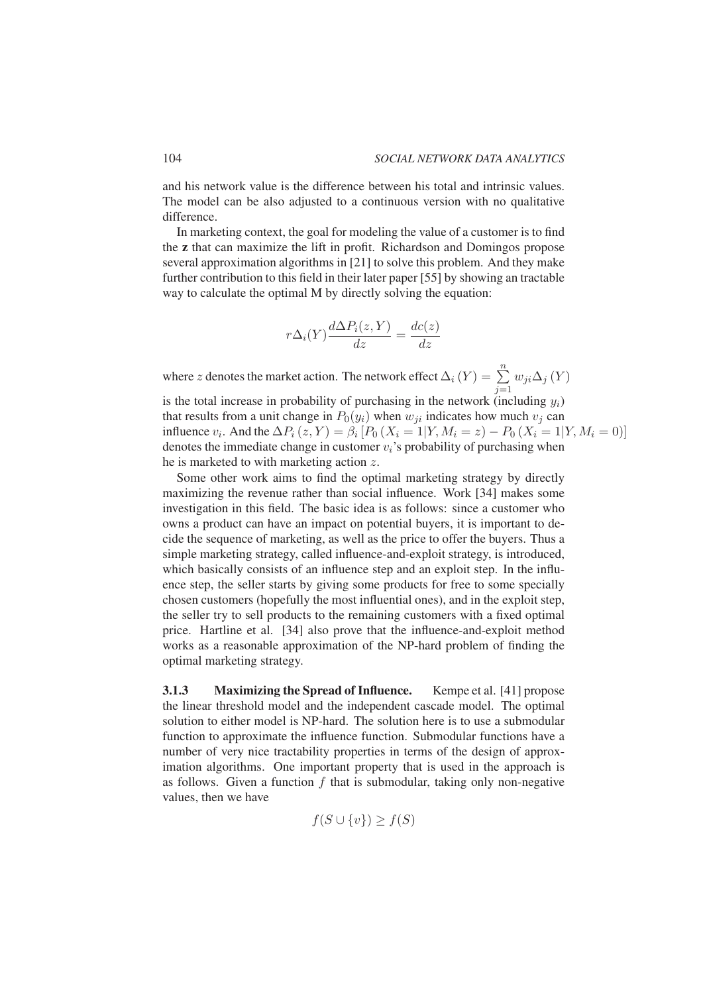and his network value is the difference between his total and intrinsic values. The model can be also adjusted to a continuous version with no qualitative difference.

In marketing context, the goal for modeling the value of a customer is to find the z that can maximize the lift in profit. Richardson and Domingos propose several approximation algorithms in [21] to solve this problem. And they make further contribution to this field in their later paper [55] by showing an tractable way to calculate the optimal M by directly solving the equation:

$$
r\Delta_i(Y)\frac{d\Delta P_i(z,Y)}{dz} = \frac{dc(z)}{dz}
$$

where z denotes the market action. The network effect  $\Delta_i(Y) = \sum_{j=1}^{n} w_{ji} \Delta_j(Y)$  $j=1$ 

is the total increase in probability of purchasing in the network (including  $y_i$ )<br>that results from a unit change in  $P_i(y_i)$  when  $y_i$  indicates how much  $y_i$  can that results from a unit change in  $P_0(y_i)$  when  $w_{ii}$  indicates how much  $v_i$  can influence  $v_i$ . And the  $\Delta P_i(z, Y) = \beta_i [P_0(X_i = 1 | Y, M_i = z) - P_0(X_i = 1 | Y, M_i = 0)]$ denotes the immediate change in customer  $v_i$ 's probability of purchasing when he is marketed to with marketing action z.

Some other work aims to find the optimal marketing strategy by directly maximizing the revenue rather than social influence. Work [34] makes some investigation in this field. The basic idea is as follows: since a customer who owns a product can have an impact on potential buyers, it is important to decide the sequence of marketing, as well as the price to offer the buyers. Thus a simple marketing strategy, called influence-and-exploit strategy, is introduced, which basically consists of an influence step and an exploit step. In the influence step, the seller starts by giving some products for free to some specially chosen customers (hopefully the most influential ones), and in the exploit step, the seller try to sell products to the remaining customers with a fixed optimal price. Hartline et al. [34] also prove that the influence-and-exploit method works as a reasonable approximation of the NP-hard problem of finding the optimal marketing strategy.

3.1.3 Maximizing the Spread of Influence. Kempe et al. [41] propose the linear threshold model and the independent cascade model. The optimal solution to either model is NP-hard. The solution here is to use a submodular function to approximate the influence function. Submodular functions have a number of very nice tractability properties in terms of the design of approximation algorithms. One important property that is used in the approach is as follows. Given a function  $f$  that is submodular, taking only non-negative values, then we have

 $f(S \cup \{v\}) \geq f(S)$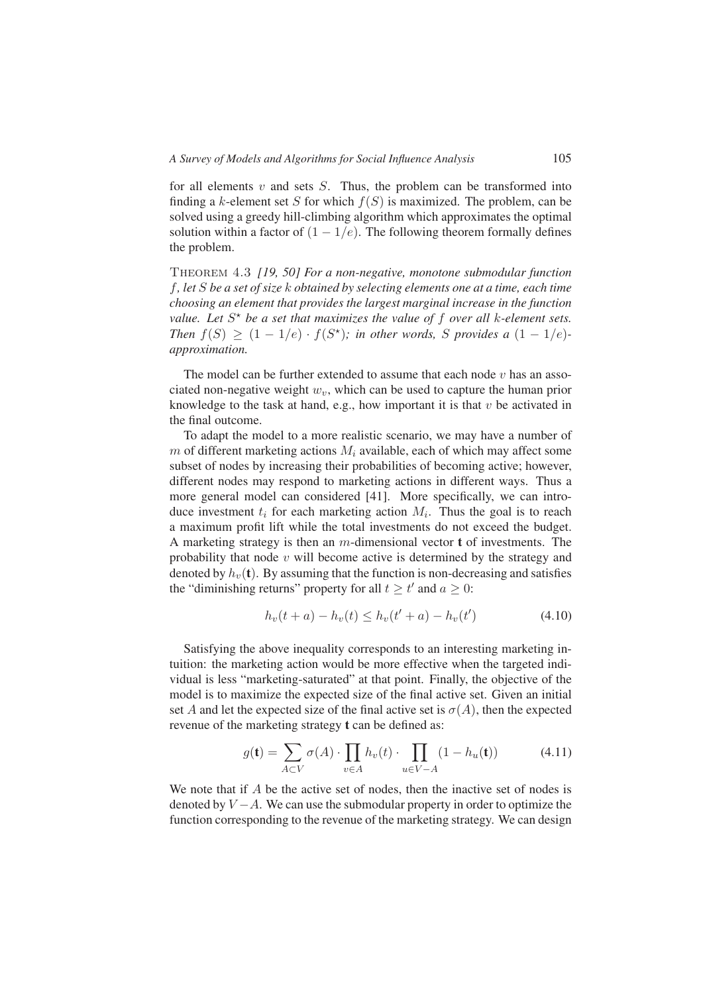for all elements  $v$  and sets  $S$ . Thus, the problem can be transformed into finding a k-element set S for which  $f(S)$  is maximized. The problem, can be solved using a greedy hill-climbing algorithm which approximates the optimal solution within a factor of  $(1 - 1/e)$ . The following theorem formally defines the problem.

Theorem 4.3 *[19, 50] For a non-negative, monotone submodular function* f*, let* S *be a set of size* k *obtained by selecting elements one at a time, each time choosing an element that provides the largest marginal increase in the function value. Let*  $S^*$  *be a set that maximizes the value of f over all k-element sets. Then*  $f(S) > (1 - 1/e) \cdot f(S^*)$ ; in other words, S provides a  $(1 - 1/e)$ *approximation.*

The model can be further extended to assume that each node  $v$  has an associated non-negative weight  $w<sub>v</sub>$ , which can be used to capture the human prior knowledge to the task at hand, e.g., how important it is that  $v$  be activated in the final outcome.

To adapt the model to a more realistic scenario, we may have a number of m of different marketing actions  $M_i$  available, each of which may affect some subset of nodes by increasing their probabilities of becoming active; however, different nodes may respond to marketing actions in different ways. Thus a more general model can considered [41]. More specifically, we can introduce investment  $t_i$  for each marketing action  $M_i$ . Thus the goal is to reach a maximum profit lift while the total investments do not exceed the budget. A marketing strategy is then an  $m$ -dimensional vector **t** of investments. The probability that node  $v$  will become active is determined by the strategy and denoted by  $h<sub>v</sub>(t)$ . By assuming that the function is non-decreasing and satisfies the "diminishing returns" property for all  $t \ge t'$  and  $a \ge 0$ :

$$
h_v(t+a) - h_v(t) \le h_v(t'+a) - h_v(t')
$$
\n(4.10)

Satisfying the above inequality corresponds to an interesting marketing intuition: the marketing action would be more effective when the targeted individual is less "marketing-saturated" at that point. Finally, the objective of the model is to maximize the expected size of the final active set. Given an initial set A and let the expected size of the final active set is  $\sigma(A)$ , then the expected revenue of the marketing strategy t can be defined as:

$$
g(\mathbf{t}) = \sum_{A \subset V} \sigma(A) \cdot \prod_{v \in A} h_v(t) \cdot \prod_{u \in V - A} (1 - h_u(\mathbf{t})) \tag{4.11}
$$

We note that if A be the active set of nodes, then the inactive set of nodes is denoted by  $V - A$ . We can use the submodular property in order to optimize the function corresponding to the revenue of the marketing strategy. We can design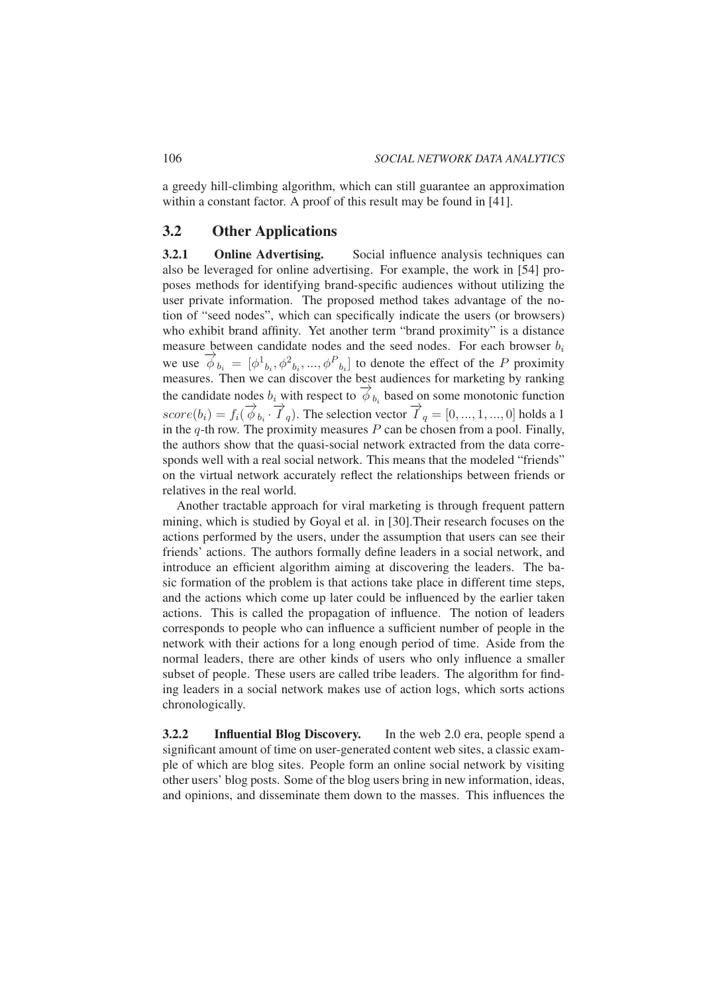a greedy hill-climbing algorithm, which can still guarantee an approximation within a constant factor. A proof of this result may be found in [41].

## 3.2 Other Applications

3.2.1 Online Advertising. Social influence analysis techniques can also be leveraged for online advertising. For example, the work in [54] proposes methods for identifying brand-specific audiences without utilizing the user private information. The proposed method takes advantage of the notion of "seed nodes", which can specifically indicate the users (or browsers) who exhibit brand affinity. Yet another term "brand proximity" is a distance measure between candidate nodes and the seed nodes. For each browser  $b_i$ we use  $\overrightarrow{\phi}_{b_i} = [\phi^1_{b_i}]$ <br>measures Then we contain  $, \phi^2$ we use  $\phi_{b_i} = [\phi^1_{b_i}, \phi^2_{b_i}, ..., \phi^P_{b_i}]$  to denote the effect of the *P* proximity measures. Then we can discover the best audiences for marketing by ranking the candidate nodes  $b_i$  with respect to  $\overrightarrow{\phi}_{b_i}$  based on some monotonic function score $(b_i) = f_i(\vec{\phi}_{b_i} \cdot \vec{T}_q)$ . The selection vector  $\vec{T}_q = [0, ..., 1, ..., 0]$  holds a 1<br>in the *a*-th row. The provinity measures *P* can be chosen from a pool. Finally in the q-th row. The proximity measures  $P$  can be chosen from a pool. Finally, the authors show that the quasi-social network extracted from the data corresponds well with a real social network. This means that the modeled "friends" on the virtual network accurately reflect the relationships between friends or relatives in the real world.

Another tractable approach for viral marketing is through frequent pattern mining, which is studied by Goyal et al. in [30].Their research focuses on the actions performed by the users, under the assumption that users can see their friends' actions. The authors formally define leaders in a social network, and introduce an efficient algorithm aiming at discovering the leaders. The basic formation of the problem is that actions take place in different time steps, and the actions which come up later could be influenced by the earlier taken actions. This is called the propagation of influence. The notion of leaders corresponds to people who can influence a sufficient number of people in the network with their actions for a long enough period of time. Aside from the normal leaders, there are other kinds of users who only influence a smaller subset of people. These users are called tribe leaders. The algorithm for finding leaders in a social network makes use of action logs, which sorts actions chronologically.

3.2.2 Influential Blog Discovery. In the web 2.0 era, people spend a significant amount of time on user-generated content web sites, a classic example of which are blog sites. People form an online social network by visiting other users' blog posts. Some of the blog users bring in new information, ideas, and opinions, and disseminate them down to the masses. This influences the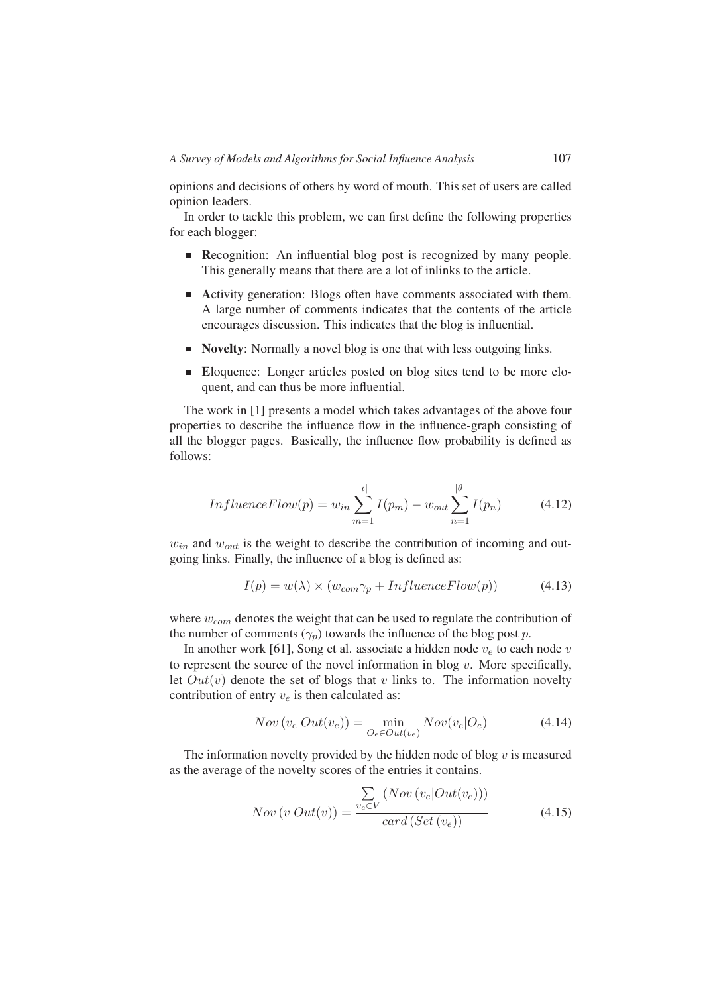opinions and decisions of others by word of mouth. This set of users are called opinion leaders.

In order to tackle this problem, we can first define the following properties for each blogger:

- Recognition: An influential blog post is recognized by many people. This generally means that there are a lot of inlinks to the article.
- Activity generation: Blogs often have comments associated with them. A large number of comments indicates that the contents of the article encourages discussion. This indicates that the blog is influential.
- Novelty: Normally a novel blog is one that with less outgoing links.
- Eloquence: Longer articles posted on blog sites tend to be more eloquent, and can thus be more influential.

The work in [1] presents a model which takes advantages of the above four properties to describe the influence flow in the influence-graph consisting of all the blogger pages. Basically, the influence flow probability is defined as follows:

$$
InfluenceFlow(p) = w_{in} \sum_{m=1}^{|l|} I(p_m) - w_{out} \sum_{n=1}^{|l|} I(p_n)
$$
 (4.12)

 $w_{in}$  and  $w_{out}$  is the weight to describe the contribution of incoming and outgoing links. Finally, the influence of a blog is defined as:

$$
I(p) = w(\lambda) \times (w_{com} \gamma_p + InfluenceFlow(p))
$$
\n(4.13)

where  $w_{com}$  denotes the weight that can be used to regulate the contribution of the number of comments  $(\gamma_p)$  towards the influence of the blog post p.

In another work [61], Song et al. associate a hidden node  $v_e$  to each node v to represent the source of the novel information in blog  $v$ . More specifically, let  $Out(v)$  denote the set of blogs that v links to. The information novelty contribution of entry  $v_e$  is then calculated as:

$$
Nov\left(v_e|Out(v_e)\right) = \min_{O_e \in Out(v_e)} Nov(v_e|O_e) \tag{4.14}
$$

The information novelty provided by the hidden node of blog  $v$  is measured as the average of the novelty scores of the entries it contains.

$$
Nov\left(v|Out(v)\right) = \frac{\sum_{v_e \in V} \left(Nov\left(v_e|Out(v_e)\right)\right)}{card\left(Set\left(v_e\right)\right)}\tag{4.15}
$$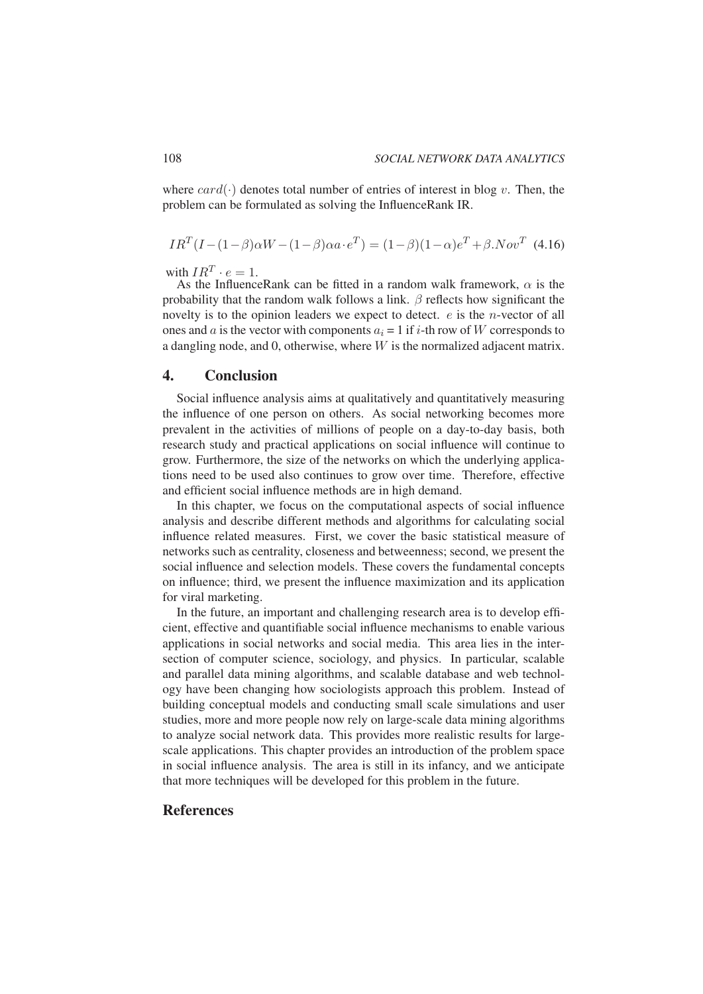where  $card(\cdot)$  denotes total number of entries of interest in blog v. Then, the problem can be formulated as solving the InfluenceRank IR.

$$
IR^{T}(I - (1 - \beta)\alpha W - (1 - \beta)\alpha a \cdot e^{T}) = (1 - \beta)(1 - \alpha)e^{T} + \beta.Nov^{T}
$$
(4.16)

with  $IR^T \cdot e = 1$ .<br>As the InfluenceRank can be fitted in a random walk framework,  $\alpha$  is the probability that the random walk follows a link.  $\beta$  reflects how significant the novelty is to the opinion leaders we expect to detect. e is the n-vector of all ones and a is the vector with components  $a_i = 1$  if i-th row of W corresponds to a dangling node, and 0, otherwise, where W is the normalized adjacent matrix.

#### 4. Conclusion

Social influence analysis aims at qualitatively and quantitatively measuring the influence of one person on others. As social networking becomes more prevalent in the activities of millions of people on a day-to-day basis, both research study and practical applications on social influence will continue to grow. Furthermore, the size of the networks on which the underlying applications need to be used also continues to grow over time. Therefore, effective and efficient social influence methods are in high demand.

In this chapter, we focus on the computational aspects of social influence analysis and describe different methods and algorithms for calculating social influence related measures. First, we cover the basic statistical measure of networks such as centrality, closeness and betweenness; second, we present the social influence and selection models. These covers the fundamental concepts on influence; third, we present the influence maximization and its application for viral marketing.

In the future, an important and challenging research area is to develop efficient, effective and quantifiable social influence mechanisms to enable various applications in social networks and social media. This area lies in the intersection of computer science, sociology, and physics. In particular, scalable and parallel data mining algorithms, and scalable database and web technology have been changing how sociologists approach this problem. Instead of building conceptual models and conducting small scale simulations and user studies, more and more people now rely on large-scale data mining algorithms to analyze social network data. This provides more realistic results for largescale applications. This chapter provides an introduction of the problem space in social influence analysis. The area is still in its infancy, and we anticipate that more techniques will be developed for this problem in the future.

#### **References**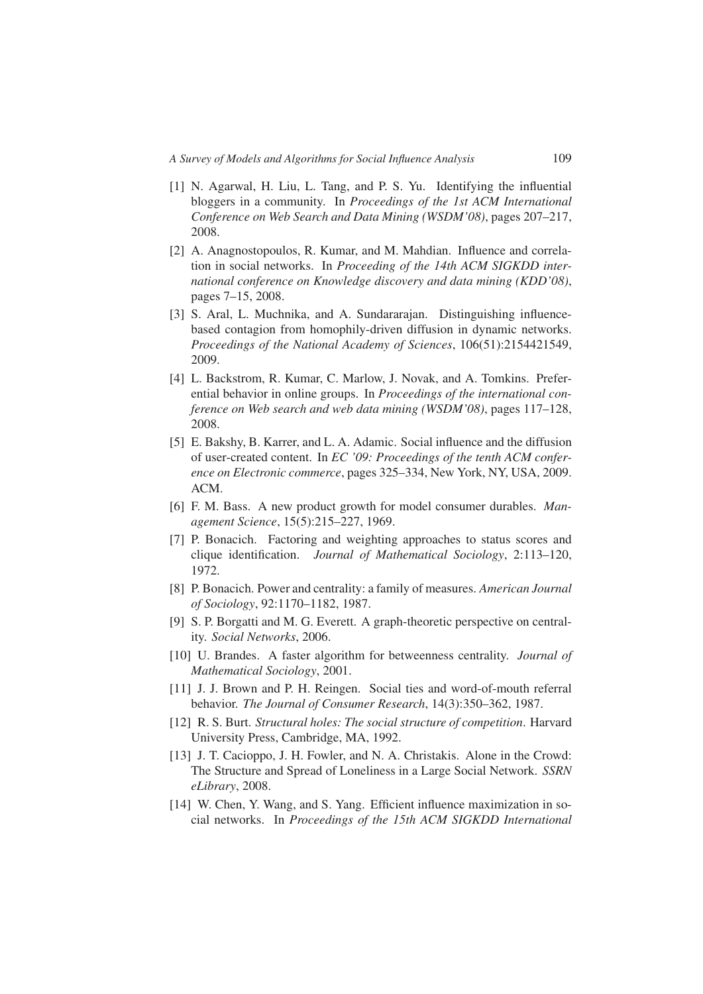- [1] N. Agarwal, H. Liu, L. Tang, and P. S. Yu. Identifying the influential bloggers in a community. In *Proceedings of the 1st ACM International Conference on Web Search and Data Mining (WSDM'08)*, pages 207–217, 2008.
- [2] A. Anagnostopoulos, R. Kumar, and M. Mahdian. Influence and correlation in social networks. In *Proceeding of the 14th ACM SIGKDD international conference on Knowledge discovery and data mining (KDD'08)*, pages 7–15, 2008.
- [3] S. Aral, L. Muchnika, and A. Sundararajan. Distinguishing influencebased contagion from homophily-driven diffusion in dynamic networks. *Proceedings of the National Academy of Sciences*, 106(51):2154421549, 2009.
- [4] L. Backstrom, R. Kumar, C. Marlow, J. Novak, and A. Tomkins. Preferential behavior in online groups. In *Proceedings of the international conference on Web search and web data mining (WSDM'08)*, pages 117–128, 2008.
- [5] E. Bakshy, B. Karrer, and L. A. Adamic. Social influence and the diffusion of user-created content. In *EC '09: Proceedings of the tenth ACM conference on Electronic commerce*, pages 325–334, New York, NY, USA, 2009. ACM.
- [6] F. M. Bass. A new product growth for model consumer durables. *Management Science*, 15(5):215–227, 1969.
- [7] P. Bonacich. Factoring and weighting approaches to status scores and clique identification. *Journal of Mathematical Sociology*, 2:113–120, 1972.
- [8] P. Bonacich. Power and centrality: a family of measures. *American Journal of Sociology*, 92:1170–1182, 1987.
- [9] S. P. Borgatti and M. G. Everett. A graph-theoretic perspective on centrality. *Social Networks*, 2006.
- [10] U. Brandes. A faster algorithm for betweenness centrality. *Journal of Mathematical Sociology*, 2001.
- [11] J. J. Brown and P. H. Reingen. Social ties and word-of-mouth referral behavior. *The Journal of Consumer Research*, 14(3):350–362, 1987.
- [12] R. S. Burt. *Structural holes: The social structure of competition*. Harvard University Press, Cambridge, MA, 1992.
- [13] J. T. Cacioppo, J. H. Fowler, and N. A. Christakis. Alone in the Crowd: The Structure and Spread of Loneliness in a Large Social Network. *SSRN eLibrary*, 2008.
- [14] W. Chen, Y. Wang, and S. Yang. Efficient influence maximization in social networks. In *Proceedings of the 15th ACM SIGKDD International*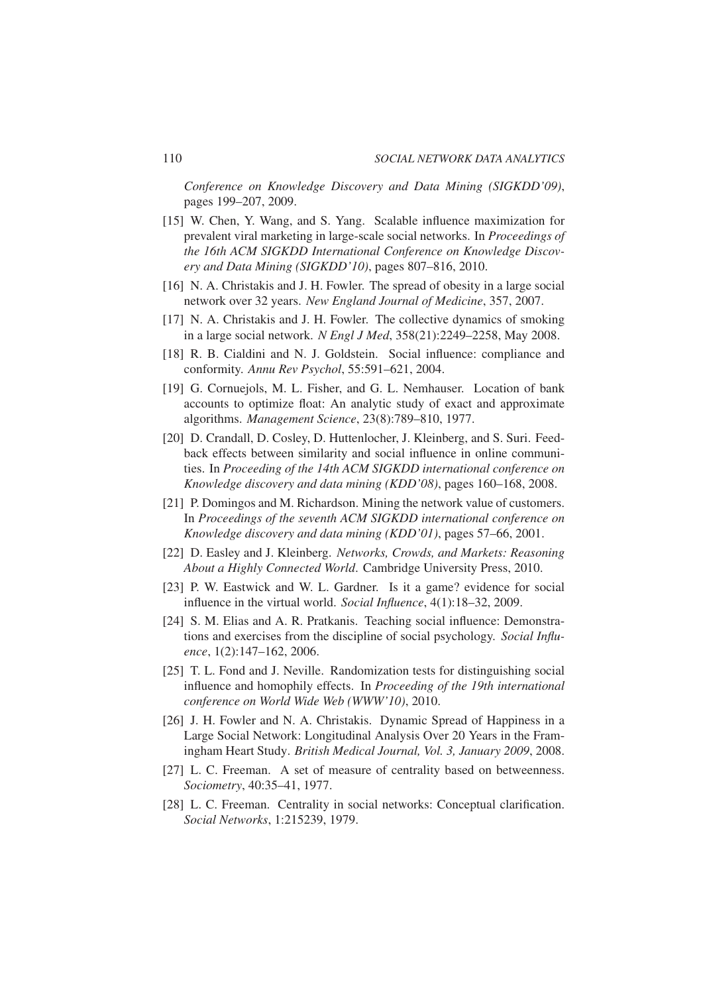*Conference on Knowledge Discovery and Data Mining (SIGKDD'09)*, pages 199–207, 2009.

- [15] W. Chen, Y. Wang, and S. Yang. Scalable influence maximization for prevalent viral marketing in large-scale social networks. In *Proceedings of the 16th ACM SIGKDD International Conference on Knowledge Discovery and Data Mining (SIGKDD'10)*, pages 807–816, 2010.
- [16] N. A. Christakis and J. H. Fowler. The spread of obesity in a large social network over 32 years. *New England Journal of Medicine*, 357, 2007.
- [17] N. A. Christakis and J. H. Fowler. The collective dynamics of smoking in a large social network. *N Engl J Med*, 358(21):2249–2258, May 2008.
- [18] R. B. Cialdini and N. J. Goldstein. Social influence: compliance and conformity. *Annu Rev Psychol*, 55:591–621, 2004.
- [19] G. Cornuejols, M. L. Fisher, and G. L. Nemhauser. Location of bank accounts to optimize float: An analytic study of exact and approximate algorithms. *Management Science*, 23(8):789–810, 1977.
- [20] D. Crandall, D. Cosley, D. Huttenlocher, J. Kleinberg, and S. Suri. Feedback effects between similarity and social influence in online communities. In *Proceeding of the 14th ACM SIGKDD international conference on Knowledge discovery and data mining (KDD'08)*, pages 160–168, 2008.
- [21] P. Domingos and M. Richardson. Mining the network value of customers. In *Proceedings of the seventh ACM SIGKDD international conference on Knowledge discovery and data mining (KDD'01)*, pages 57–66, 2001.
- [22] D. Easley and J. Kleinberg. *Networks, Crowds, and Markets: Reasoning About a Highly Connected World*. Cambridge University Press, 2010.
- [23] P. W. Eastwick and W. L. Gardner. Is it a game? evidence for social influence in the virtual world. *Social Influence*, 4(1):18–32, 2009.
- [24] S. M. Elias and A. R. Pratkanis. Teaching social influence: Demonstrations and exercises from the discipline of social psychology. *Social Influence*, 1(2):147–162, 2006.
- [25] T. L. Fond and J. Neville. Randomization tests for distinguishing social influence and homophily effects. In *Proceeding of the 19th international conference on World Wide Web (WWW'10)*, 2010.
- [26] J. H. Fowler and N. A. Christakis. Dynamic Spread of Happiness in a Large Social Network: Longitudinal Analysis Over 20 Years in the Framingham Heart Study. *British Medical Journal, Vol. 3, January 2009*, 2008.
- [27] L. C. Freeman. A set of measure of centrality based on betweenness. *Sociometry*, 40:35–41, 1977.
- [28] L. C. Freeman. Centrality in social networks: Conceptual clarification. *Social Networks*, 1:215239, 1979.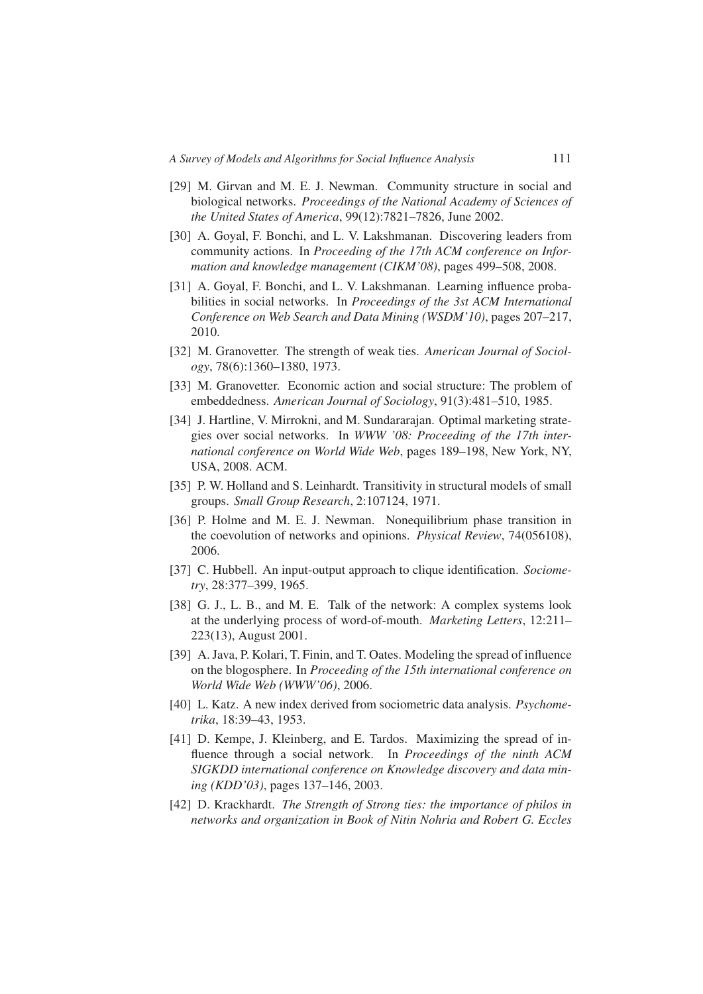- [29] M. Girvan and M. E. J. Newman. Community structure in social and biological networks. *Proceedings of the National Academy of Sciences of the United States of America*, 99(12):7821–7826, June 2002.
- [30] A. Goyal, F. Bonchi, and L. V. Lakshmanan. Discovering leaders from community actions. In *Proceeding of the 17th ACM conference on Information and knowledge management (CIKM'08)*, pages 499–508, 2008.
- [31] A. Goyal, F. Bonchi, and L. V. Lakshmanan. Learning influence probabilities in social networks. In *Proceedings of the 3st ACM International Conference on Web Search and Data Mining (WSDM'10)*, pages 207–217, 2010.
- [32] M. Granovetter. The strength of weak ties. *American Journal of Sociology*, 78(6):1360–1380, 1973.
- [33] M. Granovetter. Economic action and social structure: The problem of embeddedness. *American Journal of Sociology*, 91(3):481–510, 1985.
- [34] J. Hartline, V. Mirrokni, and M. Sundararajan. Optimal marketing strategies over social networks. In *WWW '08: Proceeding of the 17th international conference on World Wide Web*, pages 189–198, New York, NY, USA, 2008. ACM.
- [35] P. W. Holland and S. Leinhardt. Transitivity in structural models of small groups. *Small Group Research*, 2:107124, 1971.
- [36] P. Holme and M. E. J. Newman. Nonequilibrium phase transition in the coevolution of networks and opinions. *Physical Review*, 74(056108), 2006.
- [37] C. Hubbell. An input-output approach to clique identification. *Sociometry*, 28:377–399, 1965.
- [38] G. J., L. B., and M. E. Talk of the network: A complex systems look at the underlying process of word-of-mouth. *Marketing Letters*, 12:211– 223(13), August 2001.
- [39] A. Java, P. Kolari, T. Finin, and T. Oates. Modeling the spread of influence on the blogosphere. In *Proceeding of the 15th international conference on World Wide Web (WWW'06)*, 2006.
- [40] L. Katz. A new index derived from sociometric data analysis. *Psychometrika*, 18:39–43, 1953.
- [41] D. Kempe, J. Kleinberg, and E. Tardos. Maximizing the spread of influence through a social network. In *Proceedings of the ninth ACM SIGKDD international conference on Knowledge discovery and data mining (KDD'03)*, pages 137–146, 2003.
- [42] D. Krackhardt. *The Strength of Strong ties: the importance of philos in networks and organization in Book of Nitin Nohria and Robert G. Eccles*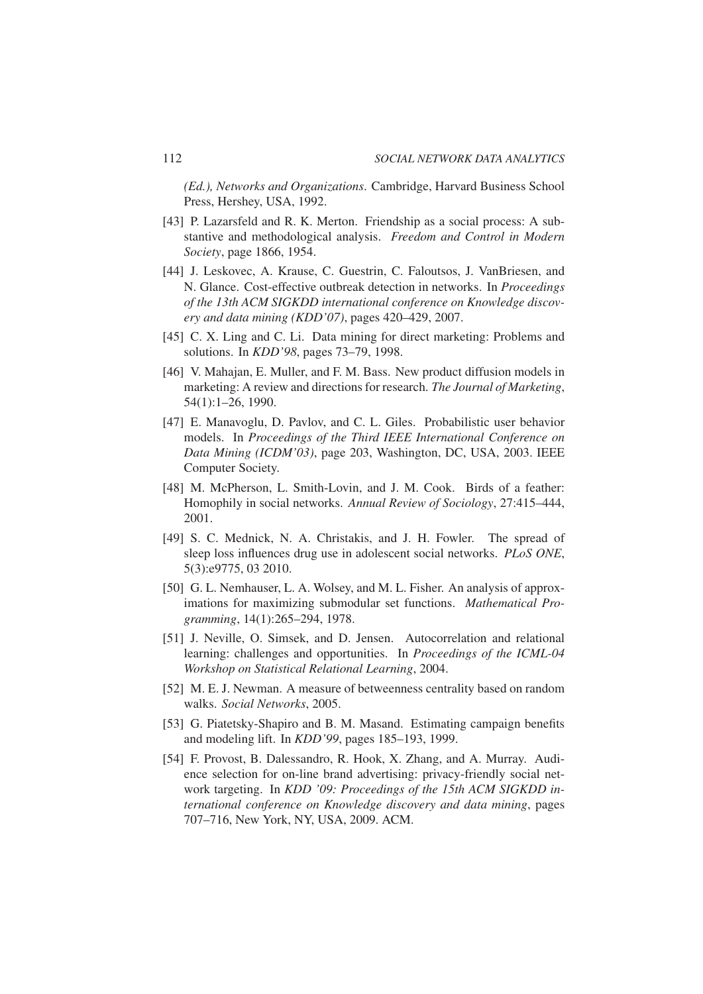*(Ed.), Networks and Organizations*. Cambridge, Harvard Business School Press, Hershey, USA, 1992.

- [43] P. Lazarsfeld and R. K. Merton. Friendship as a social process: A substantive and methodological analysis. *Freedom and Control in Modern Society*, page 1866, 1954.
- [44] J. Leskovec, A. Krause, C. Guestrin, C. Faloutsos, J. VanBriesen, and N. Glance. Cost-effective outbreak detection in networks. In *Proceedings of the 13th ACM SIGKDD international conference on Knowledge discovery and data mining (KDD'07)*, pages 420–429, 2007.
- [45] C. X. Ling and C. Li. Data mining for direct marketing: Problems and solutions. In *KDD'98*, pages 73–79, 1998.
- [46] V. Mahajan, E. Muller, and F. M. Bass. New product diffusion models in marketing: A review and directions for research. *The Journal of Marketing*, 54(1):1–26, 1990.
- [47] E. Manavoglu, D. Pavlov, and C. L. Giles. Probabilistic user behavior models. In *Proceedings of the Third IEEE International Conference on Data Mining (ICDM'03)*, page 203, Washington, DC, USA, 2003. IEEE Computer Society.
- [48] M. McPherson, L. Smith-Lovin, and J. M. Cook. Birds of a feather: Homophily in social networks. *Annual Review of Sociology*, 27:415–444, 2001.
- [49] S. C. Mednick, N. A. Christakis, and J. H. Fowler. The spread of sleep loss influences drug use in adolescent social networks. *PLoS ONE*, 5(3):e9775, 03 2010.
- [50] G. L. Nemhauser, L. A. Wolsey, and M. L. Fisher. An analysis of approximations for maximizing submodular set functions. *Mathematical Programming*, 14(1):265–294, 1978.
- [51] J. Neville, O. Simsek, and D. Jensen. Autocorrelation and relational learning: challenges and opportunities. In *Proceedings of the ICML-04 Workshop on Statistical Relational Learning*, 2004.
- [52] M. E. J. Newman. A measure of betweenness centrality based on random walks. *Social Networks*, 2005.
- [53] G. Piatetsky-Shapiro and B. M. Masand. Estimating campaign benefits and modeling lift. In *KDD'99*, pages 185–193, 1999.
- [54] F. Provost, B. Dalessandro, R. Hook, X. Zhang, and A. Murray. Audience selection for on-line brand advertising: privacy-friendly social network targeting. In *KDD '09: Proceedings of the 15th ACM SIGKDD international conference on Knowledge discovery and data mining*, pages 707–716, New York, NY, USA, 2009. ACM.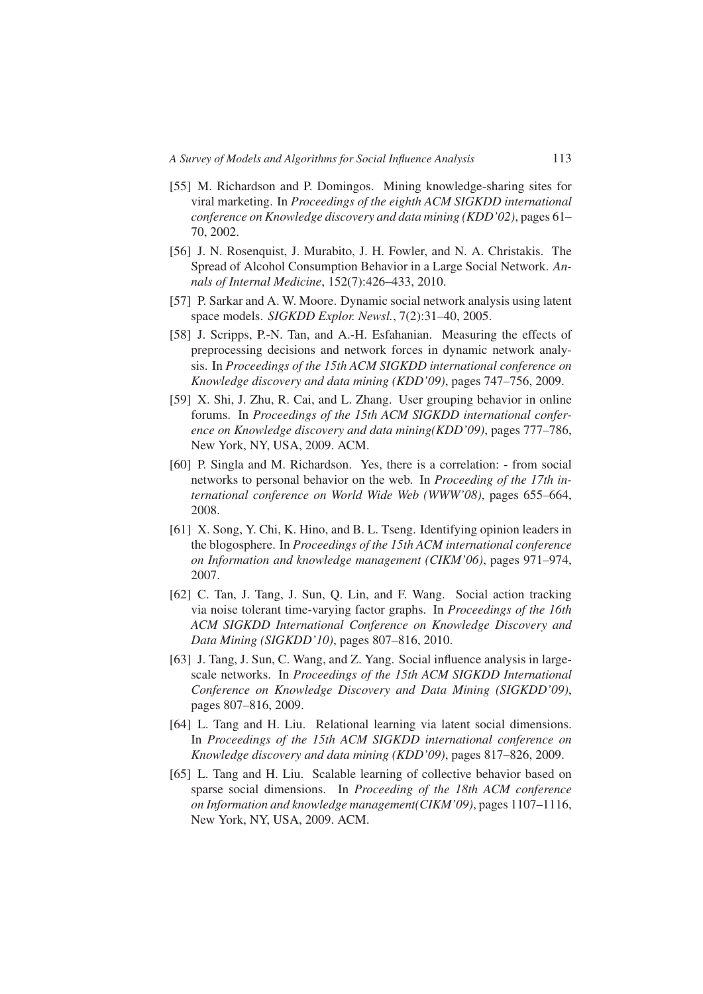- [55] M. Richardson and P. Domingos. Mining knowledge-sharing sites for viral marketing. In *Proceedings of the eighth ACM SIGKDD international conference on Knowledge discovery and data mining (KDD'02)*, pages 61– 70, 2002.
- [56] J. N. Rosenquist, J. Murabito, J. H. Fowler, and N. A. Christakis. The Spread of Alcohol Consumption Behavior in a Large Social Network. *Annals of Internal Medicine*, 152(7):426–433, 2010.
- [57] P. Sarkar and A. W. Moore. Dynamic social network analysis using latent space models. *SIGKDD Explor. Newsl.*, 7(2):31–40, 2005.
- [58] J. Scripps, P.-N. Tan, and A.-H. Esfahanian. Measuring the effects of preprocessing decisions and network forces in dynamic network analysis. In *Proceedings of the 15th ACM SIGKDD international conference on Knowledge discovery and data mining (KDD'09)*, pages 747–756, 2009.
- [59] X. Shi, J. Zhu, R. Cai, and L. Zhang. User grouping behavior in online forums. In *Proceedings of the 15th ACM SIGKDD international conference on Knowledge discovery and data mining(KDD'09)*, pages 777–786, New York, NY, USA, 2009. ACM.
- [60] P. Singla and M. Richardson. Yes, there is a correlation: from social networks to personal behavior on the web. In *Proceeding of the 17th international conference on World Wide Web (WWW'08)*, pages 655–664, 2008.
- [61] X. Song, Y. Chi, K. Hino, and B. L. Tseng. Identifying opinion leaders in the blogosphere. In *Proceedings of the 15th ACM international conference on Information and knowledge management (CIKM'06)*, pages 971–974, 2007.
- [62] C. Tan, J. Tang, J. Sun, Q. Lin, and F. Wang. Social action tracking via noise tolerant time-varying factor graphs. In *Proceedings of the 16th ACM SIGKDD International Conference on Knowledge Discovery and Data Mining (SIGKDD'10)*, pages 807–816, 2010.
- [63] J. Tang, J. Sun, C. Wang, and Z. Yang. Social influence analysis in largescale networks. In *Proceedings of the 15th ACM SIGKDD International Conference on Knowledge Discovery and Data Mining (SIGKDD'09)*, pages 807–816, 2009.
- [64] L. Tang and H. Liu. Relational learning via latent social dimensions. In *Proceedings of the 15th ACM SIGKDD international conference on Knowledge discovery and data mining (KDD'09)*, pages 817–826, 2009.
- [65] L. Tang and H. Liu. Scalable learning of collective behavior based on sparse social dimensions. In *Proceeding of the 18th ACM conference on Information and knowledge management(CIKM'09)*, pages 1107–1116, New York, NY, USA, 2009. ACM.